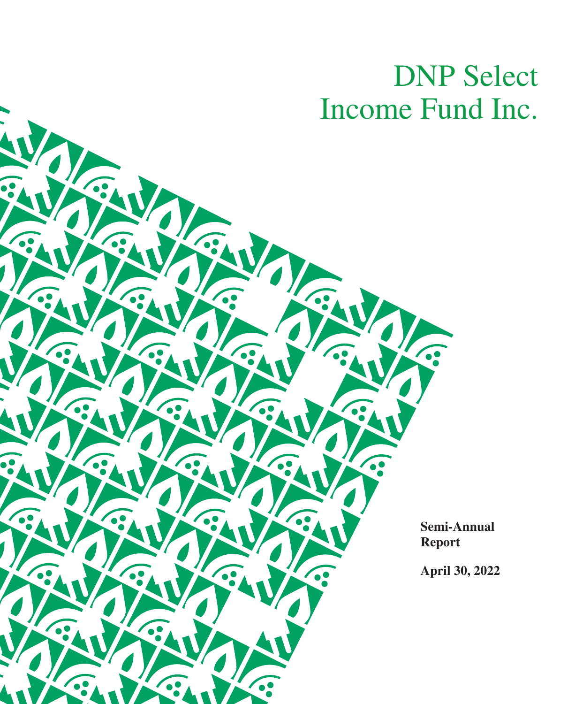# DNP Select Income Fund Inc.

 $\overline{\cdot}$ 

**Semi-Annual Report**

**April 30, 2022**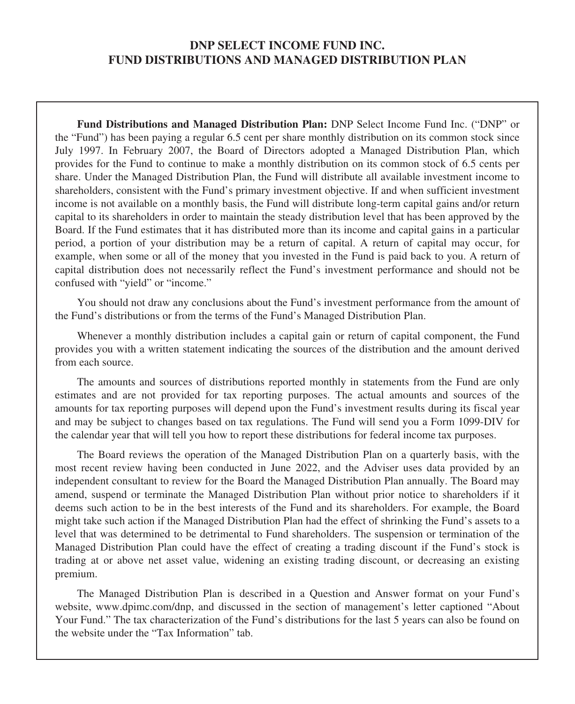## **DNP SELECT INCOME FUND INC. FUND DISTRIBUTIONS AND MANAGED DISTRIBUTION PLAN**

**Fund Distributions and Managed Distribution Plan:** DNP Select Income Fund Inc. ("DNP" or the "Fund") has been paying a regular 6.5 cent per share monthly distribution on its common stock since July 1997. In February 2007, the Board of Directors adopted a Managed Distribution Plan, which provides for the Fund to continue to make a monthly distribution on its common stock of 6.5 cents per share. Under the Managed Distribution Plan, the Fund will distribute all available investment income to shareholders, consistent with the Fund's primary investment objective. If and when sufficient investment income is not available on a monthly basis, the Fund will distribute long-term capital gains and/or return capital to its shareholders in order to maintain the steady distribution level that has been approved by the Board. If the Fund estimates that it has distributed more than its income and capital gains in a particular period, a portion of your distribution may be a return of capital. A return of capital may occur, for example, when some or all of the money that you invested in the Fund is paid back to you. A return of capital distribution does not necessarily reflect the Fund's investment performance and should not be confused with "yield" or "income."

You should not draw any conclusions about the Fund's investment performance from the amount of the Fund's distributions or from the terms of the Fund's Managed Distribution Plan.

Whenever a monthly distribution includes a capital gain or return of capital component, the Fund provides you with a written statement indicating the sources of the distribution and the amount derived from each source.

The amounts and sources of distributions reported monthly in statements from the Fund are only estimates and are not provided for tax reporting purposes. The actual amounts and sources of the amounts for tax reporting purposes will depend upon the Fund's investment results during its fiscal year and may be subject to changes based on tax regulations. The Fund will send you a Form 1099-DIV for the calendar year that will tell you how to report these distributions for federal income tax purposes.

The Board reviews the operation of the Managed Distribution Plan on a quarterly basis, with the most recent review having been conducted in June 2022, and the Adviser uses data provided by an independent consultant to review for the Board the Managed Distribution Plan annually. The Board may amend, suspend or terminate the Managed Distribution Plan without prior notice to shareholders if it deems such action to be in the best interests of the Fund and its shareholders. For example, the Board might take such action if the Managed Distribution Plan had the effect of shrinking the Fund's assets to a level that was determined to be detrimental to Fund shareholders. The suspension or termination of the Managed Distribution Plan could have the effect of creating a trading discount if the Fund's stock is trading at or above net asset value, widening an existing trading discount, or decreasing an existing premium.

The Managed Distribution Plan is described in a Question and Answer format on your Fund's website, www.dpimc.com/dnp, and discussed in the section of management's letter captioned "About Your Fund." The tax characterization of the Fund's distributions for the last 5 years can also be found on the website under the "Tax Information" tab.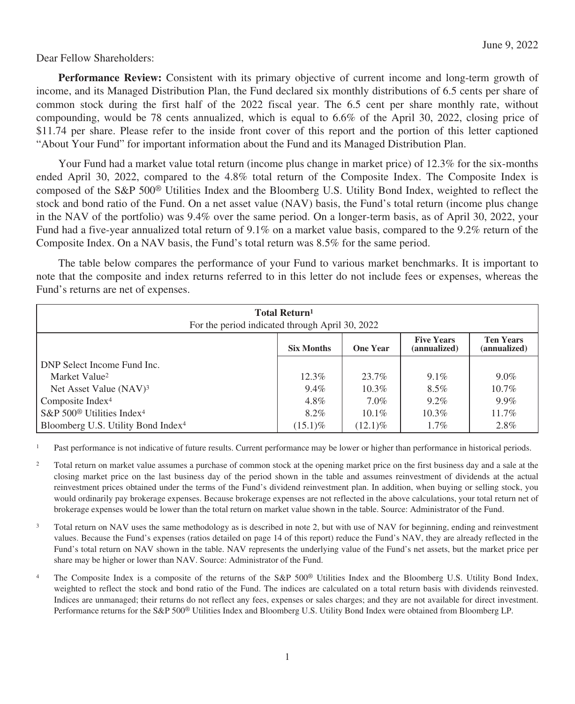Dear Fellow Shareholders:

**Performance Review:** Consistent with its primary objective of current income and long-term growth of income, and its Managed Distribution Plan, the Fund declared six monthly distributions of 6.5 cents per share of common stock during the first half of the 2022 fiscal year. The 6.5 cent per share monthly rate, without compounding, would be 78 cents annualized, which is equal to 6.6% of the April 30, 2022, closing price of \$11.74 per share. Please refer to the inside front cover of this report and the portion of this letter captioned "About Your Fund" for important information about the Fund and its Managed Distribution Plan.

Your Fund had a market value total return (income plus change in market price) of 12.3% for the six-months ended April 30, 2022, compared to the 4.8% total return of the Composite Index. The Composite Index is composed of the S&P 500® Utilities Index and the Bloomberg U.S. Utility Bond Index, weighted to reflect the stock and bond ratio of the Fund. On a net asset value (NAV) basis, the Fund's total return (income plus change in the NAV of the portfolio) was 9.4% over the same period. On a longer-term basis, as of April 30, 2022, your Fund had a five-year annualized total return of 9.1% on a market value basis, compared to the 9.2% return of the Composite Index. On a NAV basis, the Fund's total return was 8.5% for the same period.

The table below compares the performance of your Fund to various market benchmarks. It is important to note that the composite and index returns referred to in this letter do not include fees or expenses, whereas the Fund's returns are net of expenses.

| <b>Total Return</b> <sup>1</sup><br>For the period indicated through April 30, 2022                           |            |            |          |          |  |  |  |
|---------------------------------------------------------------------------------------------------------------|------------|------------|----------|----------|--|--|--|
| <b>Five Years</b><br><b>Ten Years</b><br>(annualized)<br><b>Six Months</b><br><b>One Year</b><br>(annualized) |            |            |          |          |  |  |  |
| DNP Select Income Fund Inc.                                                                                   |            |            |          |          |  |  |  |
| Market Value <sup>2</sup>                                                                                     | $12.3\%$   | 23.7%      | $9.1\%$  | $9.0\%$  |  |  |  |
| Net Asset Value (NAV) <sup>3</sup>                                                                            | $9.4\%$    | $10.3\%$   | $8.5\%$  | $10.7\%$ |  |  |  |
| Composite Index <sup>4</sup>                                                                                  | 4.8%       | $7.0\%$    | $9.2\%$  | $9.9\%$  |  |  |  |
| S&P $500^\circ$ Utilities Index <sup>4</sup>                                                                  | 8.2%       | $10.1\%$   | $10.3\%$ | $11.7\%$ |  |  |  |
| Bloomberg U.S. Utility Bond Index <sup>4</sup>                                                                | $(15.1)\%$ | $(12.1)\%$ | $1.7\%$  | 2.8%     |  |  |  |

<sup>1</sup> Past performance is not indicative of future results. Current performance may be lower or higher than performance in historical periods.

- <sup>2</sup> Total return on market value assumes a purchase of common stock at the opening market price on the first business day and a sale at the closing market price on the last business day of the period shown in the table and assumes reinvestment of dividends at the actual reinvestment prices obtained under the terms of the Fund's dividend reinvestment plan. In addition, when buying or selling stock, you would ordinarily pay brokerage expenses. Because brokerage expenses are not reflected in the above calculations, your total return net of brokerage expenses would be lower than the total return on market value shown in the table. Source: Administrator of the Fund.
- <sup>3</sup> Total return on NAV uses the same methodology as is described in note 2, but with use of NAV for beginning, ending and reinvestment values. Because the Fund's expenses (ratios detailed on page 14 of this report) reduce the Fund's NAV, they are already reflected in the Fund's total return on NAV shown in the table. NAV represents the underlying value of the Fund's net assets, but the market price per share may be higher or lower than NAV. Source: Administrator of the Fund.
- <sup>4</sup> The Composite Index is a composite of the returns of the S&P 500<sup>®</sup> Utilities Index and the Bloomberg U.S. Utility Bond Index, weighted to reflect the stock and bond ratio of the Fund. The indices are calculated on a total return basis with dividends reinvested. Indices are unmanaged; their returns do not reflect any fees, expenses or sales charges; and they are not available for direct investment. Performance returns for the S&P 500® Utilities Index and Bloomberg U.S. Utility Bond Index were obtained from Bloomberg LP.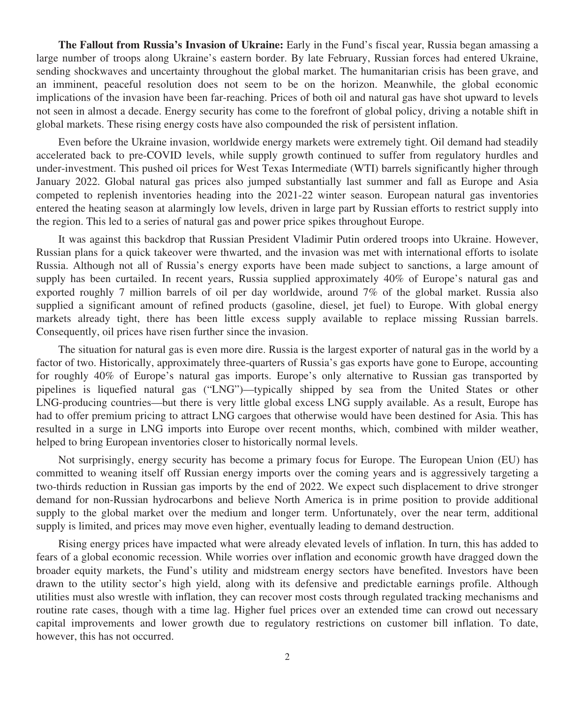**The Fallout from Russia's Invasion of Ukraine:** Early in the Fund's fiscal year, Russia began amassing a large number of troops along Ukraine's eastern border. By late February, Russian forces had entered Ukraine, sending shockwaves and uncertainty throughout the global market. The humanitarian crisis has been grave, and an imminent, peaceful resolution does not seem to be on the horizon. Meanwhile, the global economic implications of the invasion have been far-reaching. Prices of both oil and natural gas have shot upward to levels not seen in almost a decade. Energy security has come to the forefront of global policy, driving a notable shift in global markets. These rising energy costs have also compounded the risk of persistent inflation.

Even before the Ukraine invasion, worldwide energy markets were extremely tight. Oil demand had steadily accelerated back to pre-COVID levels, while supply growth continued to suffer from regulatory hurdles and under-investment. This pushed oil prices for West Texas Intermediate (WTI) barrels significantly higher through January 2022. Global natural gas prices also jumped substantially last summer and fall as Europe and Asia competed to replenish inventories heading into the 2021-22 winter season. European natural gas inventories entered the heating season at alarmingly low levels, driven in large part by Russian efforts to restrict supply into the region. This led to a series of natural gas and power price spikes throughout Europe.

It was against this backdrop that Russian President Vladimir Putin ordered troops into Ukraine. However, Russian plans for a quick takeover were thwarted, and the invasion was met with international efforts to isolate Russia. Although not all of Russia's energy exports have been made subject to sanctions, a large amount of supply has been curtailed. In recent years, Russia supplied approximately 40% of Europe's natural gas and exported roughly 7 million barrels of oil per day worldwide, around 7% of the global market. Russia also supplied a significant amount of refined products (gasoline, diesel, jet fuel) to Europe. With global energy markets already tight, there has been little excess supply available to replace missing Russian barrels. Consequently, oil prices have risen further since the invasion.

The situation for natural gas is even more dire. Russia is the largest exporter of natural gas in the world by a factor of two. Historically, approximately three-quarters of Russia's gas exports have gone to Europe, accounting for roughly 40% of Europe's natural gas imports. Europe's only alternative to Russian gas transported by pipelines is liquefied natural gas ("LNG")—typically shipped by sea from the United States or other LNG-producing countries—but there is very little global excess LNG supply available. As a result, Europe has had to offer premium pricing to attract LNG cargoes that otherwise would have been destined for Asia. This has resulted in a surge in LNG imports into Europe over recent months, which, combined with milder weather, helped to bring European inventories closer to historically normal levels.

Not surprisingly, energy security has become a primary focus for Europe. The European Union (EU) has committed to weaning itself off Russian energy imports over the coming years and is aggressively targeting a two-thirds reduction in Russian gas imports by the end of 2022. We expect such displacement to drive stronger demand for non-Russian hydrocarbons and believe North America is in prime position to provide additional supply to the global market over the medium and longer term. Unfortunately, over the near term, additional supply is limited, and prices may move even higher, eventually leading to demand destruction.

Rising energy prices have impacted what were already elevated levels of inflation. In turn, this has added to fears of a global economic recession. While worries over inflation and economic growth have dragged down the broader equity markets, the Fund's utility and midstream energy sectors have benefited. Investors have been drawn to the utility sector's high yield, along with its defensive and predictable earnings profile. Although utilities must also wrestle with inflation, they can recover most costs through regulated tracking mechanisms and routine rate cases, though with a time lag. Higher fuel prices over an extended time can crowd out necessary capital improvements and lower growth due to regulatory restrictions on customer bill inflation. To date, however, this has not occurred.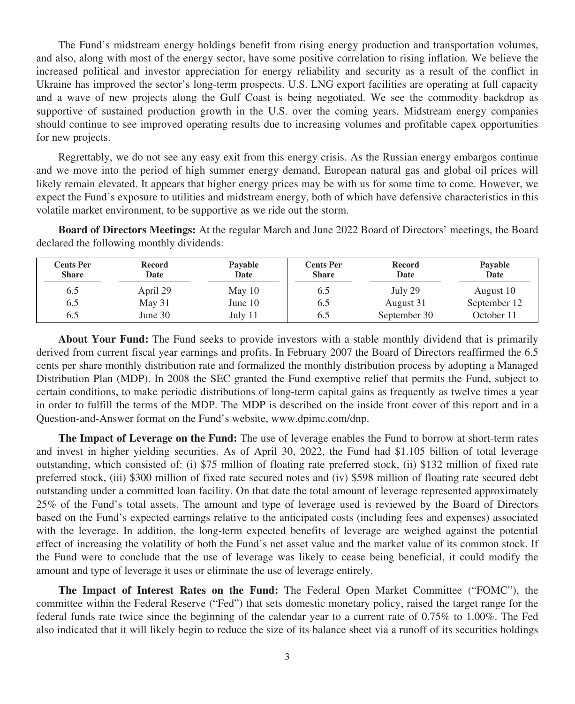The Fund's midstream energy holdings benefit from rising energy production and transportation volumes, and also, along with most of the energy sector, have some positive correlation to rising inflation. We believe the increased political and investor appreciation for energy reliability and security as a result of the conflict in Ukraine has improved the sector's long-term prospects. U.S. LNG export facilities are operating at full capacity and a wave of new projects along the Gulf Coast is being negotiated. We see the commodity backdrop as supportive of sustained production growth in the U.S. over the coming years. Midstream energy companies should continue to see improved operating results due to increasing volumes and profitable capex opportunities for new projects.

Regrettably, we do not see any easy exit from this energy crisis. As the Russian energy embargos continue and we move into the period of high summer energy demand, European natural gas and global oil prices will likely remain elevated. It appears that higher energy prices may be with us for some time to come. However, we expect the Fund's exposure to utilities and midstream energy, both of which have defensive characteristics in this volatile market environment, to be supportive as we ride out the storm.

**Board of Directors Meetings:** At the regular March and June 2022 Board of Directors' meetings, the Board declared the following monthly dividends:

| <b>Cents Per</b><br><b>Share</b> | Record<br>Date | Pavable<br>Date | <b>Cents Per</b><br><b>Share</b> | Record<br>Date | Pavable<br>Date |
|----------------------------------|----------------|-----------------|----------------------------------|----------------|-----------------|
| 6.5                              | April 29       | May $10$        | 6.2                              | July 29        | August 10       |
| 6.5                              | May $31$       | June $10$       | 6.5                              | August 31      | September 12    |
| 6.5                              | June 30        | July 11         | 6.5                              | September 30   | October 11      |

**About Your Fund:** The Fund seeks to provide investors with a stable monthly dividend that is primarily derived from current fiscal year earnings and profits. In February 2007 the Board of Directors reaffirmed the 6.5 cents per share monthly distribution rate and formalized the monthly distribution process by adopting a Managed Distribution Plan (MDP). In 2008 the SEC granted the Fund exemptive relief that permits the Fund, subject to certain conditions, to make periodic distributions of long-term capital gains as frequently as twelve times a year in order to fulfill the terms of the MDP. The MDP is described on the inside front cover of this report and in a Question-and-Answer format on the Fund's website, www.dpimc.com/dnp.

**The Impact of Leverage on the Fund:** The use of leverage enables the Fund to borrow at short-term rates and invest in higher yielding securities. As of April 30, 2022, the Fund had \$1.105 billion of total leverage outstanding, which consisted of: (i) \$75 million of floating rate preferred stock, (ii) \$132 million of fixed rate preferred stock, (iii) \$300 million of fixed rate secured notes and (iv) \$598 million of floating rate secured debt outstanding under a committed loan facility. On that date the total amount of leverage represented approximately 25% of the Fund's total assets. The amount and type of leverage used is reviewed by the Board of Directors based on the Fund's expected earnings relative to the anticipated costs (including fees and expenses) associated with the leverage. In addition, the long-term expected benefits of leverage are weighed against the potential effect of increasing the volatility of both the Fund's net asset value and the market value of its common stock. If the Fund were to conclude that the use of leverage was likely to cease being beneficial, it could modify the amount and type of leverage it uses or eliminate the use of leverage entirely.

**The Impact of Interest Rates on the Fund:** The Federal Open Market Committee ("FOMC"), the committee within the Federal Reserve ("Fed") that sets domestic monetary policy, raised the target range for the federal funds rate twice since the beginning of the calendar year to a current rate of 0.75% to 1.00%. The Fed also indicated that it will likely begin to reduce the size of its balance sheet via a runoff of its securities holdings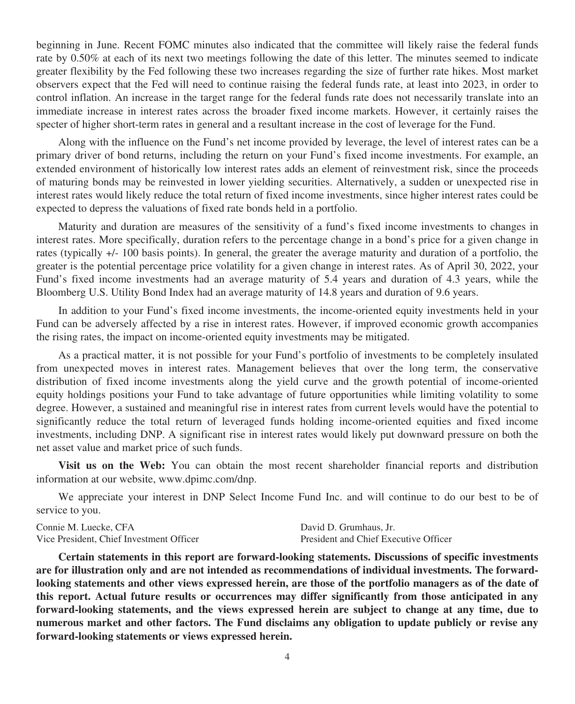beginning in June. Recent FOMC minutes also indicated that the committee will likely raise the federal funds rate by 0.50% at each of its next two meetings following the date of this letter. The minutes seemed to indicate greater flexibility by the Fed following these two increases regarding the size of further rate hikes. Most market observers expect that the Fed will need to continue raising the federal funds rate, at least into 2023, in order to control inflation. An increase in the target range for the federal funds rate does not necessarily translate into an immediate increase in interest rates across the broader fixed income markets. However, it certainly raises the specter of higher short-term rates in general and a resultant increase in the cost of leverage for the Fund.

Along with the influence on the Fund's net income provided by leverage, the level of interest rates can be a primary driver of bond returns, including the return on your Fund's fixed income investments. For example, an extended environment of historically low interest rates adds an element of reinvestment risk, since the proceeds of maturing bonds may be reinvested in lower yielding securities. Alternatively, a sudden or unexpected rise in interest rates would likely reduce the total return of fixed income investments, since higher interest rates could be expected to depress the valuations of fixed rate bonds held in a portfolio.

Maturity and duration are measures of the sensitivity of a fund's fixed income investments to changes in interest rates. More specifically, duration refers to the percentage change in a bond's price for a given change in rates (typically +/- 100 basis points). In general, the greater the average maturity and duration of a portfolio, the greater is the potential percentage price volatility for a given change in interest rates. As of April 30, 2022, your Fund's fixed income investments had an average maturity of 5.4 years and duration of 4.3 years, while the Bloomberg U.S. Utility Bond Index had an average maturity of 14.8 years and duration of 9.6 years.

In addition to your Fund's fixed income investments, the income-oriented equity investments held in your Fund can be adversely affected by a rise in interest rates. However, if improved economic growth accompanies the rising rates, the impact on income-oriented equity investments may be mitigated.

As a practical matter, it is not possible for your Fund's portfolio of investments to be completely insulated from unexpected moves in interest rates. Management believes that over the long term, the conservative distribution of fixed income investments along the yield curve and the growth potential of income-oriented equity holdings positions your Fund to take advantage of future opportunities while limiting volatility to some degree. However, a sustained and meaningful rise in interest rates from current levels would have the potential to significantly reduce the total return of leveraged funds holding income-oriented equities and fixed income investments, including DNP. A significant rise in interest rates would likely put downward pressure on both the net asset value and market price of such funds.

**Visit us on the Web:** You can obtain the most recent shareholder financial reports and distribution information at our website, www.dpimc.com/dnp.

We appreciate your interest in DNP Select Income Fund Inc. and will continue to do our best to be of service to you.

Connie M. Luecke, CFA David D. Grumhaus, Jr. Vice President, Chief Investment Officer President and Chief Executive Officer

**Certain statements in this report are forward-looking statements. Discussions of specific investments are for illustration only and are not intended as recommendations of individual investments. The forwardlooking statements and other views expressed herein, are those of the portfolio managers as of the date of this report. Actual future results or occurrences may differ significantly from those anticipated in any forward-looking statements, and the views expressed herein are subject to change at any time, due to numerous market and other factors. The Fund disclaims any obligation to update publicly or revise any forward-looking statements or views expressed herein.**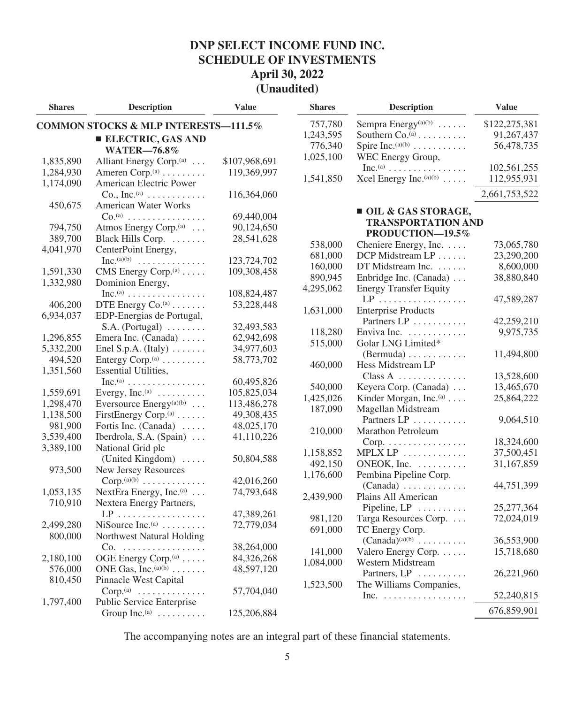| <b>Shares</b> | <b>Description</b>                              | <b>Value</b>  | <b>Shares</b> | <b>Description</b>                              | <b>Value</b>             |
|---------------|-------------------------------------------------|---------------|---------------|-------------------------------------------------|--------------------------|
|               | COMMON STOCKS & MLP INTERESTS-111.5%            |               | 757,780       | Sempra Energy <sup>(a)(b)</sup>                 | \$122,275,381            |
|               | <b>ELECTRIC, GAS AND</b>                        |               | 1,243,595     | Southern Co. <sup>(a)</sup>                     | 91,267,437               |
|               | <b>WATER-76.8%</b>                              |               | 776,340       | Spire Inc. $(a)(b)$                             | 56,478,735               |
| 1,835,890     | Alliant Energy Corp. <sup>(a)</sup>             | \$107,968,691 | 1,025,100     | WEC Energy Group,                               |                          |
| 1,284,930     | Ameren Corp. <sup>(a)</sup>                     | 119,369,997   |               | $Inc^{(a)} \dots \dots \dots \dots \dots \dots$ | 102,561,255              |
| 1,174,090     | American Electric Power                         |               | 1,541,850     | Xcel Energy Inc. <sup>(a)(b)</sup>              | 112,955,931              |
|               | Co., Inc. (a) $\dots \dots \dots$               | 116,364,060   |               |                                                 | 2,661,753,522            |
| 450,675       | American Water Works                            |               |               |                                                 |                          |
|               | $Co^{(a)}$                                      | 69,440,004    |               | OIL & GAS STORAGE,                              |                          |
| 794,750       | Atmos Energy Corp. <sup>(a)</sup>               | 90,124,650    |               | <b>TRANSPORTATION AND</b>                       |                          |
| 389,700       | Black Hills Corp.                               | 28,541,628    |               | PRODUCTION-19.5%                                |                          |
| 4,041,970     | CenterPoint Energy,                             |               | 538,000       | Cheniere Energy, Inc.                           | 73,065,780               |
|               | $Inc.(a)(b)$                                    | 123,724,702   | 681,000       | DCP Midstream LP                                | 23,290,200               |
| 1,591,330     | CMS Energy Corp. $(a)$                          | 109,308,458   | 160,000       | DT Midstream Inc.                               | 8,600,000                |
| 1,332,980     | Dominion Energy,                                |               | 890,945       | Enbridge Inc. (Canada)                          | 38,880,840               |
|               | $Inc^{(a)} \dots \dots \dots \dots \dots \dots$ | 108,824,487   | 4,295,062     | <b>Energy Transfer Equity</b>                   |                          |
| 406,200       | DTE Energy Co. <sup>(a)</sup>                   | 53,228,448    |               | $LP$                                            | 47,589,287               |
| 6,934,037     | EDP-Energias de Portugal,                       |               | 1,631,000     | <b>Enterprise Products</b>                      |                          |
|               | $S.A.$ (Portugal) $\ldots \ldots$               | 32,493,583    |               | Partners LP                                     | 42,259,210               |
| 1,296,855     | Emera Inc. (Canada)                             | 62,942,698    | 118,280       | Enviva Inc.                                     | 9,975,735                |
| 5,332,200     | Enel S.p.A. (Italy) $\dots$                     | 34,977,603    | 515,000       | Golar LNG Limited*                              |                          |
| 494,520       | Entergy Corp. $(a)$                             | 58,773,702    |               | $(Bermuda) \ldots \ldots \ldots$                | 11,494,800               |
| 1,351,560     | <b>Essential Utilities,</b>                     |               | 460,000       | Hess Midstream LP<br>$Class A$                  |                          |
|               | $Inc^{(a)} \dots \dots \dots \dots \dots \dots$ | 60,495,826    | 540,000       |                                                 | 13,528,600               |
| 1,559,691     | Evergy, Inc. $(a)$                              | 105,825,034   | 1,425,026     | Keyera Corp. (Canada)<br>Kinder Morgan, Inc.(a) | 13,465,670<br>25,864,222 |
| 1,298,470     | Eversource Energy <sup>(a)(b)</sup>             | 113,486,278   | 187,090       | Magellan Midstream                              |                          |
| 1,138,500     | FirstEnergy Corp. <sup>(a)</sup>                | 49,308,435    |               | Partners LP                                     | 9,064,510                |
| 981,900       | Fortis Inc. (Canada)                            | 48,025,170    | 210,000       | Marathon Petroleum                              |                          |
| 3,539,400     | Iberdrola, S.A. (Spain)                         | 41,110,226    |               | $Corp.$                                         | 18,324,600               |
| 3,389,100     | National Grid plc                               |               | 1,158,852     | MPLX LP                                         | 37,500,451               |
|               | (United Kingdom)                                | 50,804,588    | 492,150       | ONEOK, Inc.                                     | 31,167,859               |
| 973,500       | New Jersey Resources                            |               | 1,176,600     | Pembina Pipeline Corp.                          |                          |
|               | $Corp. (a)(b) \ldots \ldots \ldots \ldots$      | 42,016,260    |               | $(Canada)$                                      | 44,751,399               |
| 1,053,135     | NextEra Energy, Inc. <sup>(a)</sup>             | 74,793,648    | 2,439,900     | Plains All American                             |                          |
| 710,910       | Nextera Energy Partners,                        |               |               | Pipeline, LP                                    | 25,277,364               |
|               |                                                 | 47,389,261    | 981,120       | Targa Resources Corp.                           | 72,024,019               |
| 2,499,280     | NiSource $Inc.(a)$                              | 72,779,034    | 691,000       | TC Energy Corp.                                 |                          |
| 800,000       | Northwest Natural Holding                       |               |               | $(Canada)^{(a)(b)} \dots \dots \dots$           | 36,553,900               |
|               | Co.                                             | 38,264,000    | 141,000       | Valero Energy Corp.                             | 15,718,680               |
| 2,180,100     | OGE Energy Corp. <sup>(a)</sup>                 | 84,326,268    | 1,084,000     | Western Midstream                               |                          |
| 576,000       | ONE Gas, Inc. $(a)(b)$                          | 48,597,120    |               | Partners, LP                                    | 26,221,960               |
| 810,450       | Pinnacle West Capital                           |               | 1,523,500     | The Williams Companies,                         |                          |
|               | $Corp.(a)$                                      | 57,704,040    |               | Inc. $\ldots$                                   | 52,240,815               |
| 1,797,400     | Public Service Enterprise                       |               |               |                                                 | 676,859,901              |
|               | Group Inc. <sup>(a)</sup>                       | 125,206,884   |               |                                                 |                          |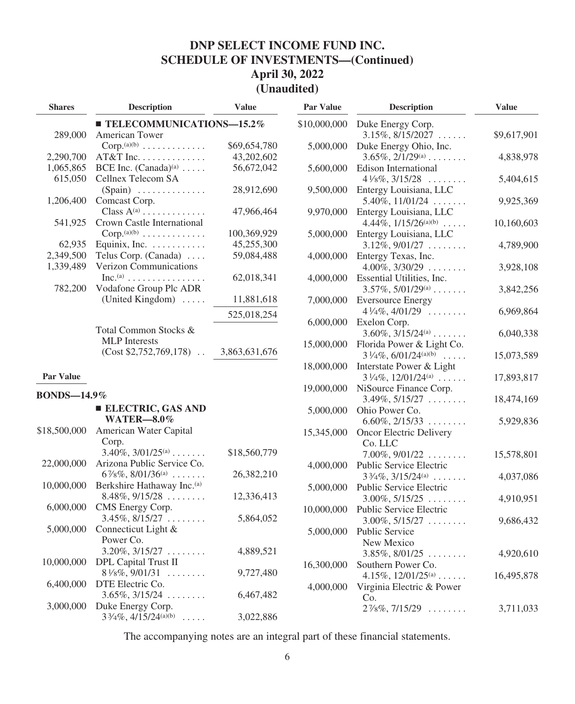| <b>Shares</b>      | <b>Description</b>                              | <b>Value</b>  | Par Value    | <b>Description</b>                    | <b>Value</b> |
|--------------------|-------------------------------------------------|---------------|--------------|---------------------------------------|--------------|
|                    | $\blacksquare$ TELECOMMUNICATIONS-15.2%         |               | \$10,000,000 | Duke Energy Corp.                     |              |
| 289,000            | American Tower                                  |               |              | $3.15\%, 8/15/2027 \ldots$            | \$9,617,901  |
|                    | $Corp. (a)(b) \ldots \ldots \ldots \ldots$      | \$69,654,780  | 5,000,000    | Duke Energy Ohio, Inc.                |              |
| 2,290,700          | AT&T Inc.                                       | 43,202,602    |              | $3.65\%, 2/1/29^{(a)} \dots$          | 4,838,978    |
| 1,065,865          | BCE Inc. $(Canada)^{(a)} \dots$                 | 56,672,042    | 5,600,000    | Edison International                  |              |
| 615,050            | Cellnex Telecom SA                              |               |              | $4\frac{1}{8}\%$ , $3/15/28$          | 5,404,615    |
|                    | $(Spain)$                                       | 28,912,690    | 9,500,000    | Entergy Louisiana, LLC                |              |
| 1,206,400          | Comcast Corp.                                   |               |              | $5.40\%, 11/01/24 \ldots$             | 9,925,369    |
|                    | Class $A^{(a)}$                                 | 47,966,464    | 9,970,000    | Entergy Louisiana, LLC                |              |
| 541,925            | Crown Castle International                      |               |              | 4.44\%, $1/15/26^{(a)(b)}$            | 10,160,603   |
|                    | $Corp. (a)(b) \ldots \ldots \ldots \ldots$      | 100,369,929   | 5,000,000    | Entergy Louisiana, LLC                |              |
| 62,935             | Equinix, Inc.                                   | 45,255,300    |              | $3.12\%, 9/01/27 \ldots$              | 4,789,900    |
| 2,349,500          | Telus Corp. (Canada)                            | 59,084,488    | 4,000,000    | Entergy Texas, Inc.                   |              |
| 1,339,489          | Verizon Communications                          |               |              | $4.00\%$ , $3/30/29$                  | 3,928,108    |
|                    | $Inc^{(a)} \dots \dots \dots \dots \dots \dots$ | 62,018,341    | 4,000,000    | Essential Utilities, Inc.             |              |
| 782,200            | Vodafone Group Plc ADR                          |               |              | $3.57\%, 5/01/29^{(a)} \dots$         | 3,842,256    |
|                    | (United Kingdom)                                | 11,881,618    | 7,000,000    | <b>Eversource Energy</b>              |              |
|                    |                                                 |               |              | $4\frac{1}{4}\%$ , $4/01/29$          | 6,969,864    |
|                    |                                                 | 525,018,254   | 6,000,000    | Exelon Corp.                          |              |
|                    | Total Common Stocks &                           |               |              | $3.60\%, 3/15/24^{(a)} \dots$         | 6,040,338    |
|                    | <b>MLP</b> Interests                            |               | 15,000,000   | Florida Power & Light Co.             |              |
|                    | $(Cost $2,752,769,178)$                         | 3,863,631,676 |              | $3\frac{1}{4}\%$ , $6/01/24^{(a)(b)}$ | 15,073,589   |
|                    |                                                 |               | 18,000,000   | Interstate Power & Light              |              |
| Par Value          |                                                 |               |              | $3\frac{1}{4}\%$ , $12/01/24^{(a)}$   | 17,893,817   |
|                    |                                                 |               | 19,000,000   | NiSource Finance Corp.                |              |
| <b>BONDS-14.9%</b> |                                                 |               |              | $3.49\%, 5/15/27 \ldots$              | 18,474,169   |
|                    | <b>ELECTRIC, GAS AND</b>                        |               | 5,000,000    | Ohio Power Co.                        |              |
|                    | <b>WATER-8.0%</b>                               |               |              | $6.60\%, 2/15/33 \ldots$              | 5,929,836    |
| \$18,500,000       | American Water Capital                          |               | 15,345,000   | Oncor Electric Delivery               |              |
|                    | Corp.                                           |               |              | Co. LLC                               |              |
|                    | $3.40\%, 3/01/25^{(a)} \dots$                   | \$18,560,779  |              | $7.00\%, 9/01/22 \dots$               | 15,578,801   |
| 22,000,000         | Arizona Public Service Co.                      |               | 4,000,000    | Public Service Electric               |              |
|                    | $6\frac{7}{8}\%$ , $8/01/36^{(a)}$              | 26,382,210    |              | $3\frac{3}{4}\%$ , $3/15/24^{(a)}$    | 4,037,086    |
| 10,000,000         | Berkshire Hathaway Inc.(a)                      |               | 5,000,000    | Public Service Electric               |              |
|                    | $8.48\%, 9/15/28 \ldots$                        | 12,336,413    |              | $3.00\%, 5/15/25 \ldots$              | 4,910,951    |
| 6,000,000          | CMS Energy Corp.                                |               | 10,000,000   | Public Service Electric               |              |
|                    | $3.45\%, 8/15/27 \ldots$                        | 5,864,052     |              | $3.00\%, 5/15/27 \ldots$              | 9,686,432    |
| 5,000,000          | Connecticut Light &                             |               | 5,000,000    | Public Service                        |              |
|                    | Power Co.                                       |               |              | New Mexico                            |              |
|                    | $3.20\%, 3/15/27 \ldots$                        | 4,889,521     |              | $3.85\%, 8/01/25 \ldots$              | 4,920,610    |
| 10,000,000         | DPL Capital Trust II                            |               | 16,300,000   | Southern Power Co.                    |              |
|                    | $8\frac{1}{8}\%$ , 9/01/31                      | 9,727,480     |              | 4.15\%, 12/01/25(a)                   | 16,495,878   |
| 6,400,000          | DTE Electric Co.                                |               | 4,000,000    | Virginia Electric & Power             |              |
|                    | $3.65\%, 3/15/24 \ldots$                        | 6,467,482     |              | Co.                                   |              |
| 3,000,000          | Duke Energy Corp.                               |               |              | $2\frac{7}{8}\%$ , $7/15/29$          | 3,711,033    |
|                    | $3\frac{3}{4}\%$ , $4/15/24^{(a)(b)}$           | 3,022,886     |              |                                       |              |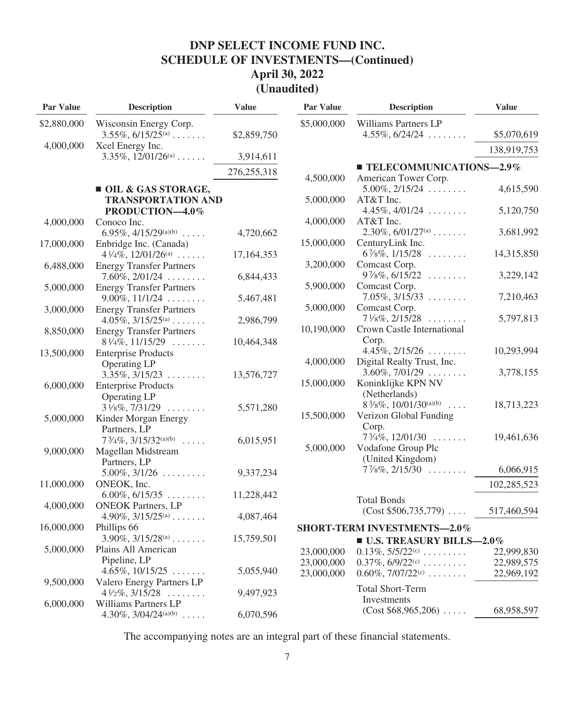| Par Value   | <b>Description</b>                                         | <b>Value</b>  | Par Value   | <b>Description</b>                                             | <b>Value</b> |
|-------------|------------------------------------------------------------|---------------|-------------|----------------------------------------------------------------|--------------|
| \$2,880,000 | Wisconsin Energy Corp.                                     |               | \$5,000,000 | Williams Partners LP                                           |              |
|             | $3.55\%, 6/15/25^{(a)} \dots$                              | \$2,859,750   |             | $4.55\%, 6/24/24 \dots$                                        | \$5,070,619  |
| 4,000,000   | Xcel Energy Inc.                                           |               |             |                                                                | 138,919,753  |
|             | $3.35\%, 12/01/26^{(a)} \dots$                             | 3,914,611     |             |                                                                |              |
|             |                                                            | 276, 255, 318 | 4,500,000   | $\blacksquare$ TELECOMMUNICATIONS-2.9%<br>American Tower Corp. |              |
|             | OIL & GAS STORAGE,                                         |               |             | $5.00\%, 2/15/24 \ldots$                                       | 4,615,590    |
|             | <b>TRANSPORTATION AND</b>                                  |               | 5,000,000   | AT&T Inc.                                                      |              |
|             | PRODUCTION-4.0%                                            |               |             | $4.45\%, 4/01/24 \ldots$                                       | 5,120,750    |
| 4,000,000   | Conoco Inc.                                                |               | 4,000,000   | AT&T Inc.                                                      |              |
|             | 6.95%, $4/15/29^{(a)(b)}$                                  | 4,720,662     |             | $2.30\%, 6/01/27^{(a)} \dots$                                  | 3,681,992    |
| 17,000,000  | Enbridge Inc. (Canada)                                     |               | 15,000,000  | CenturyLink Inc.                                               |              |
|             | $4\frac{1}{4}\%$ , $12/01/26^{(a)}$                        | 17, 164, 353  |             | $6\frac{7}{8}\%$ , $1/15/28$                                   | 14,315,850   |
| 6,488,000   | <b>Energy Transfer Partners</b>                            |               | 3,200,000   | Comcast Corp.                                                  |              |
|             | $7.60\%, 2/01/24 \ldots$                                   | 6,844,433     |             | $9\%$ %, $6/15/22$                                             | 3,229,142    |
| 5,000,000   | <b>Energy Transfer Partners</b>                            |               | 5,900,000   | Comcast Corp.                                                  |              |
|             | $9.00\%, 11/1/24 \ldots$                                   | 5,467,481     |             | $7.05\%, 3/15/33 \ldots$                                       | 7,210,463    |
| 3,000,000   | <b>Energy Transfer Partners</b>                            |               | 5,000,000   | Comcast Corp.                                                  |              |
|             | $4.05\%, 3/15/25^{(a)} \ldots$                             | 2,986,799     |             | $7\frac{1}{8}\%$ , $2/15/28$                                   | 5,797,813    |
| 8,850,000   | <b>Energy Transfer Partners</b>                            |               | 10,190,000  | Crown Castle International                                     |              |
|             | $8\frac{1}{4}\%$ , 11/15/29                                | 10,464,348    |             | Corp.                                                          |              |
| 13,500,000  | <b>Enterprise Products</b>                                 |               |             | $4.45\%, 2/15/26 \ldots$                                       | 10,293,994   |
|             | Operating LP                                               |               | 4,000,000   | Digital Realty Trust, Inc.                                     |              |
|             | $3.35\%, 3/15/23 \ldots$                                   | 13,576,727    |             | $3.60\%, 7/01/29 \ldots$                                       | 3,778,155    |
| 6,000,000   | <b>Enterprise Products</b>                                 |               | 15,000,000  | Koninklijke KPN NV                                             |              |
|             | Operating LP                                               |               |             | (Netherlands)                                                  |              |
|             | $3\frac{1}{8}\%$ , $7/31/29$                               | 5,571,280     |             | $8\frac{3}{8}\%$ , 10/01/30 <sup>(a)(b)</sup>                  | 18,713,223   |
| 5,000,000   | Kinder Morgan Energy                                       |               | 15,500,000  | Verizon Global Funding                                         |              |
|             | Partners, LP                                               |               |             | Corp.                                                          |              |
|             | $7\frac{3}{4}\%$ , $3/15/32^{(a)(b)}$                      | 6,015,951     | 5,000,000   | $7\frac{3}{4}\%$ , 12/01/30<br>Vodafone Group Plc              | 19,461,636   |
| 9,000,000   | Magellan Midstream                                         |               |             | (United Kingdom)                                               |              |
|             | Partners, LP                                               |               |             | $7\frac{1}{8}\%$ , $2/15/30$                                   | 6,066,915    |
|             | $5.00\%, 3/1/26 \ldots$                                    | 9,337,234     |             |                                                                |              |
| 11,000,000  | ONEOK, Inc.                                                |               |             |                                                                | 102,285,523  |
|             | $6.00\%, 6/15/35 \ldots$                                   | 11,228,442    |             | <b>Total Bonds</b>                                             |              |
| 4,000,000   | <b>ONEOK Partners, LP</b><br>4.90%, $3/15/25^{(a)} \ldots$ |               |             | $(Cost $506, 735, 779) \ldots$                                 | 517,460,594  |
| 16,000,000  | Phillips 66                                                | 4,087,464     |             | <b>SHORT-TERM INVESTMENTS-2.0%</b>                             |              |
|             | $3.90\%, 3/15/28^{(a)} \dots$                              | 15,759,501    |             |                                                                |              |
| 5,000,000   | Plains All American                                        |               |             | <b>U.S. TREASURY BILLS-2.0%</b>                                |              |
|             | Pipeline, LP                                               |               | 23,000,000  | $0.13\%, 5/5/22^{(c)} \dots \dots$                             | 22,999,830   |
|             | $4.65\%, 10/15/25 \ldots$                                  | 5,055,940     | 23,000,000  | $0.37\%, 6/9/22^{(c)} \dots \dots$                             | 22,989,575   |
| 9,500,000   | Valero Energy Partners LP                                  |               | 23,000,000  | $0.60\%, 7/07/22^{(c)} \dots$                                  | 22,969,192   |
|             | $4\frac{1}{2}\%$ , $3/15/28$                               | 9,497,923     |             | <b>Total Short-Term</b>                                        |              |
| 6,000,000   | Williams Partners LP                                       |               |             | Investments                                                    |              |
|             | 4.30\%, 3/04/24 $^{(a)(b)}$                                | 6,070,596     |             | $(Cost $68,965,206) \ldots$                                    | 68,958,597   |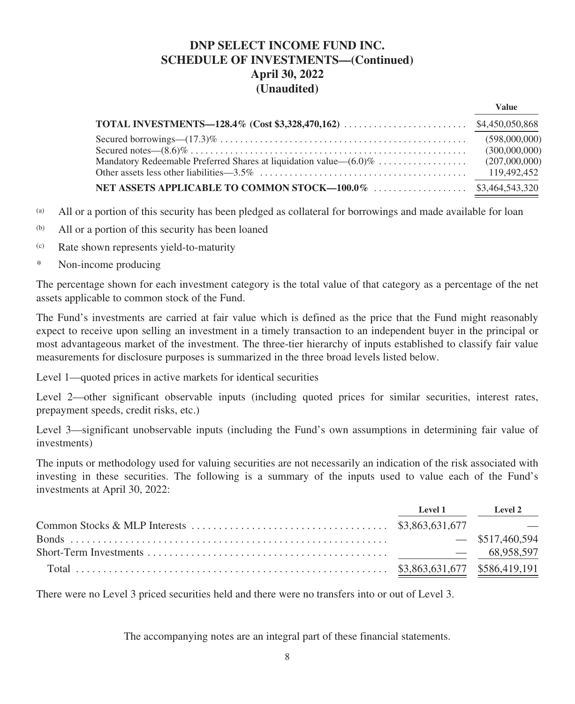|                                                                       | Value         |
|-----------------------------------------------------------------------|---------------|
|                                                                       |               |
|                                                                       | (598,000,000) |
|                                                                       | (300,000,000) |
| Mandatory Redeemable Preferred Shares at liquidation value— $(6.0)\%$ | (207,000,000) |
|                                                                       | 119.492.452   |
|                                                                       |               |

- (a) All or a portion of this security has been pledged as collateral for borrowings and made available for loan
- (b) All or a portion of this security has been loaned
- (c) Rate shown represents yield-to-maturity
- \* Non-income producing

The percentage shown for each investment category is the total value of that category as a percentage of the net assets applicable to common stock of the Fund.

The Fund's investments are carried at fair value which is defined as the price that the Fund might reasonably expect to receive upon selling an investment in a timely transaction to an independent buyer in the principal or most advantageous market of the investment. The three-tier hierarchy of inputs established to classify fair value measurements for disclosure purposes is summarized in the three broad levels listed below.

Level 1—quoted prices in active markets for identical securities

Level 2—other significant observable inputs (including quoted prices for similar securities, interest rates, prepayment speeds, credit risks, etc.)

Level 3—significant unobservable inputs (including the Fund's own assumptions in determining fair value of investments)

The inputs or methodology used for valuing securities are not necessarily an indication of the risk associated with investing in these securities. The following is a summary of the inputs used to value each of the Fund's investments at April 30, 2022:

| Level 1 | Level 2           |
|---------|-------------------|
|         |                   |
|         | $-$ \$517,460,594 |
|         | $- 68.958.597$    |
|         |                   |

There were no Level 3 priced securities held and there were no transfers into or out of Level 3.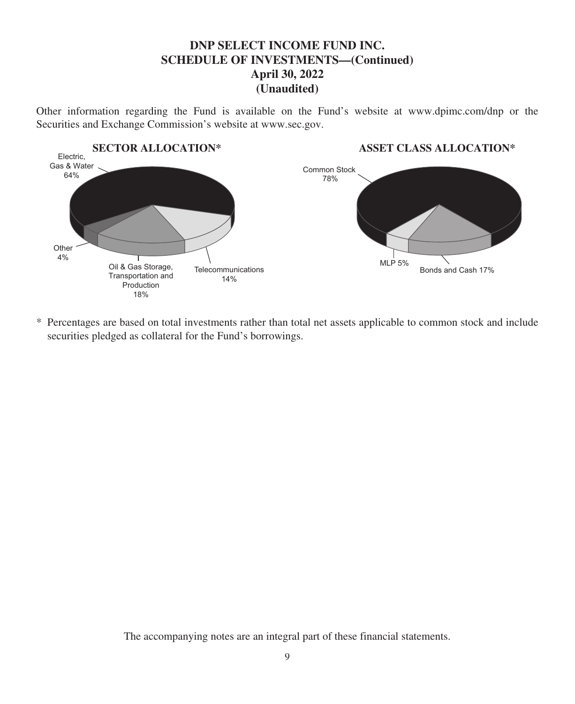Other information regarding the Fund is available on the Fund's website at www.dpimc.com/dnp or the Securities and Exchange Commission's website at www.sec.gov.



\* Percentages are based on total investments rather than total net assets applicable to common stock and include securities pledged as collateral for the Fund's borrowings.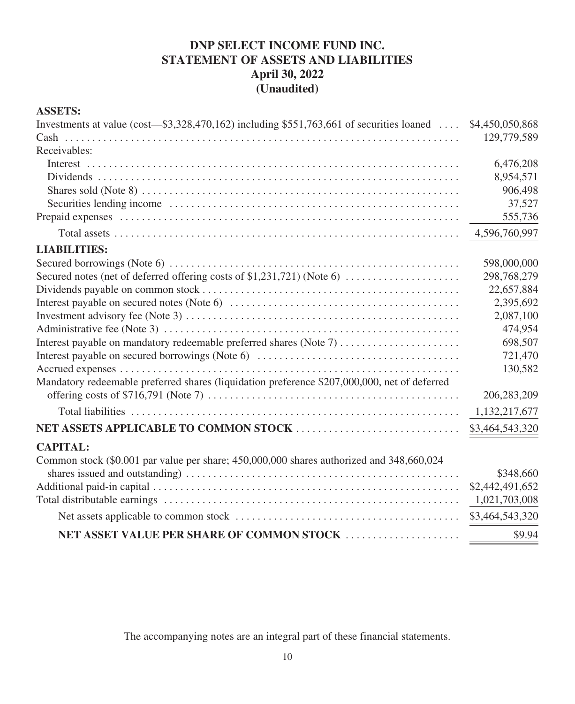# **DNP SELECT INCOME FUND INC. STATEMENT OF ASSETS AND LIABILITIES April 30, 2022 (Unaudited)**

## **ASSETS:**

| Investments at value (cost—\$3,328,470,162) including \$551,763,661 of securities loaned  \$4,450,050,868 |                 |
|-----------------------------------------------------------------------------------------------------------|-----------------|
|                                                                                                           | 129,779,589     |
| Receivables:                                                                                              |                 |
|                                                                                                           | 6,476,208       |
|                                                                                                           | 8,954,571       |
|                                                                                                           | 906,498         |
|                                                                                                           | 37,527          |
|                                                                                                           | 555,736         |
|                                                                                                           | 4,596,760,997   |
| <b>LIABILITIES:</b>                                                                                       |                 |
|                                                                                                           | 598,000,000     |
| Secured notes (net of deferred offering costs of \$1,231,721) (Note 6)                                    | 298,768,279     |
|                                                                                                           | 22,657,884      |
|                                                                                                           | 2,395,692       |
|                                                                                                           | 2,087,100       |
|                                                                                                           | 474,954         |
| Interest payable on mandatory redeemable preferred shares (Note 7)                                        | 698,507         |
|                                                                                                           | 721,470         |
|                                                                                                           | 130,582         |
| Mandatory redeemable preferred shares (liquidation preference \$207,000,000, net of deferred              |                 |
|                                                                                                           | 206,283,209     |
|                                                                                                           | 1,132,217,677   |
|                                                                                                           | \$3,464,543,320 |
| <b>CAPITAL:</b>                                                                                           |                 |
| Common stock (\$0.001 par value per share; 450,000,000 shares authorized and 348,660,024                  |                 |
|                                                                                                           | \$348,660       |
|                                                                                                           | \$2,442,491,652 |
|                                                                                                           | 1,021,703,008   |
|                                                                                                           | \$3,464,543,320 |
| NET ASSET VALUE PER SHARE OF COMMON STOCK                                                                 | \$9.94          |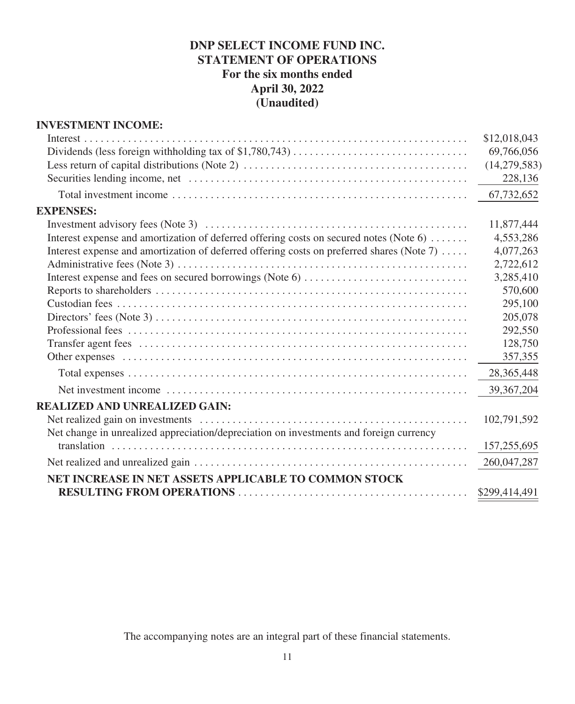# **DNP SELECT INCOME FUND INC. STATEMENT OF OPERATIONS For the six months ended April 30, 2022 (Unaudited)**

## **INVESTMENT INCOME:**

|                                                                                           | \$12,018,043   |
|-------------------------------------------------------------------------------------------|----------------|
|                                                                                           | 69,766,056     |
|                                                                                           | (14, 279, 583) |
|                                                                                           | 228,136        |
|                                                                                           | 67,732,652     |
| <b>EXPENSES:</b>                                                                          |                |
|                                                                                           | 11,877,444     |
| Interest expense and amortization of deferred offering costs on secured notes (Note 6)    | 4,553,286      |
| Interest expense and amortization of deferred offering costs on preferred shares (Note 7) | 4,077,263      |
|                                                                                           | 2,722,612      |
|                                                                                           | 3,285,410      |
|                                                                                           | 570,600        |
|                                                                                           | 295,100        |
|                                                                                           | 205,078        |
|                                                                                           | 292,550        |
|                                                                                           | 128,750        |
|                                                                                           | 357,355        |
|                                                                                           | 28,365,448     |
|                                                                                           | 39,367,204     |
| <b>REALIZED AND UNREALIZED GAIN:</b>                                                      |                |
|                                                                                           | 102,791,592    |
| Net change in unrealized appreciation/depreciation on investments and foreign currency    |                |
|                                                                                           | 157,255,695    |
|                                                                                           | 260,047,287    |
| NET INCREASE IN NET ASSETS APPLICABLE TO COMMON STOCK                                     |                |
|                                                                                           |                |
|                                                                                           |                |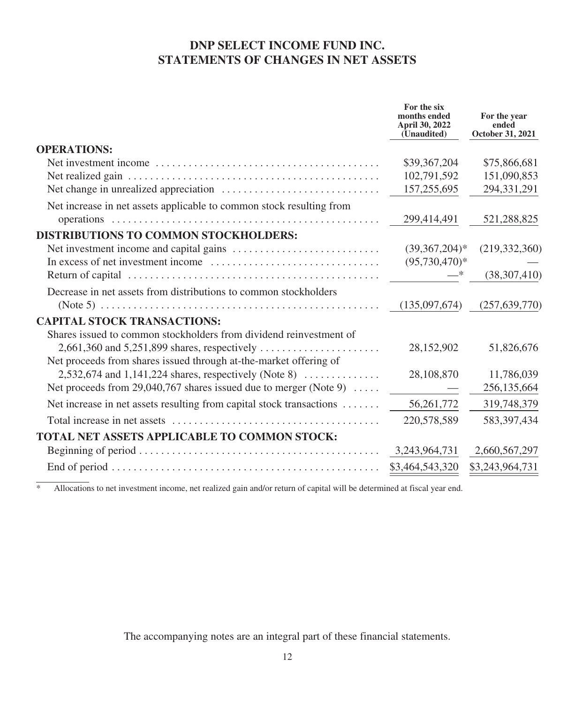## **DNP SELECT INCOME FUND INC. STATEMENTS OF CHANGES IN NET ASSETS**

| months ended<br>April 30, 2022<br>(Unaudited) | For the year<br>ended<br>October 31, 2021                        |
|-----------------------------------------------|------------------------------------------------------------------|
|                                               |                                                                  |
| \$39,367,204                                  | \$75,866,681                                                     |
| 102,791,592                                   | 151,090,853                                                      |
| 157,255,695                                   | 294,331,291                                                      |
|                                               |                                                                  |
|                                               | 521,288,825                                                      |
|                                               |                                                                  |
|                                               | (219, 332, 360)                                                  |
|                                               |                                                                  |
|                                               | (38, 307, 410)                                                   |
|                                               |                                                                  |
| (135,097,674)                                 | (257, 639, 770)                                                  |
|                                               |                                                                  |
|                                               |                                                                  |
| 28,152,902                                    | 51,826,676                                                       |
|                                               |                                                                  |
| 28,108,870                                    | 11,786,039                                                       |
|                                               | 256,135,664                                                      |
| 56, 261, 772                                  | 319,748,379                                                      |
| 220,578,589                                   | 583, 397, 434                                                    |
|                                               |                                                                  |
| 3, 243, 964, 731                              | 2,660,567,297                                                    |
| \$3,464,543,320                               | \$3,243,964,731                                                  |
|                                               | For the six<br>299,414,491<br>$(39,367,204)*$<br>$(95,730,470)*$ |

\* Allocations to net investment income, net realized gain and/or return of capital will be determined at fiscal year end.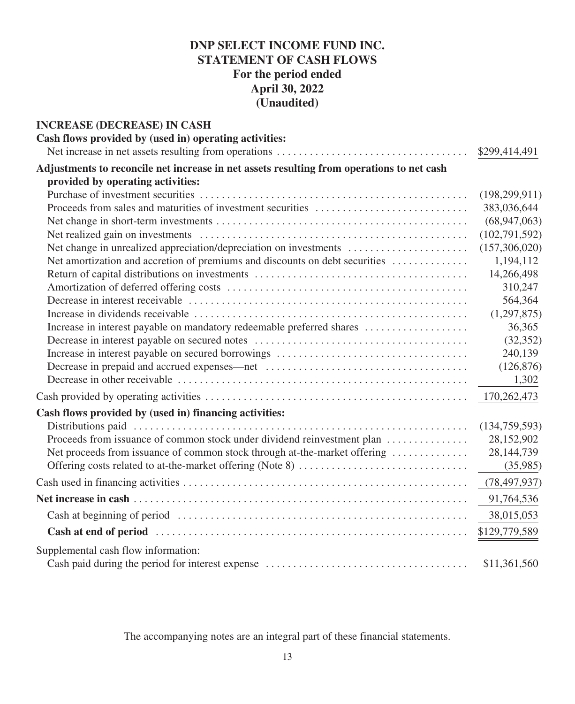# **DNP SELECT INCOME FUND INC. STATEMENT OF CASH FLOWS For the period ended April 30, 2022 (Unaudited)**

| <b>INCREASE (DECREASE) IN CASH</b>                                                        |                 |
|-------------------------------------------------------------------------------------------|-----------------|
| Cash flows provided by (used in) operating activities:                                    |                 |
|                                                                                           | \$299,414,491   |
| Adjustments to reconcile net increase in net assets resulting from operations to net cash |                 |
| provided by operating activities:                                                         |                 |
|                                                                                           | (198, 299, 911) |
|                                                                                           | 383,036,644     |
|                                                                                           | (68, 947, 063)  |
|                                                                                           | (102, 791, 592) |
|                                                                                           | (157,306,020)   |
| Net amortization and accretion of premiums and discounts on debt securities               | 1,194,112       |
|                                                                                           | 14,266,498      |
|                                                                                           | 310,247         |
|                                                                                           | 564,364         |
|                                                                                           | (1,297,875)     |
|                                                                                           | 36,365          |
|                                                                                           | (32, 352)       |
|                                                                                           | 240,139         |
|                                                                                           | (126, 876)      |
|                                                                                           | 1,302           |
|                                                                                           | 170,262,473     |
| Cash flows provided by (used in) financing activities:                                    |                 |
|                                                                                           | (134, 759, 593) |
| Proceeds from issuance of common stock under dividend reinvestment plan                   | 28,152,902      |
| Net proceeds from issuance of common stock through at-the-market offering                 | 28, 144, 739    |
|                                                                                           | (35,985)        |
|                                                                                           | (78, 497, 937)  |
|                                                                                           | 91,764,536      |
|                                                                                           | 38,015,053      |
|                                                                                           | \$129,779,589   |
| Supplemental cash flow information:                                                       |                 |
|                                                                                           | \$11,361,560    |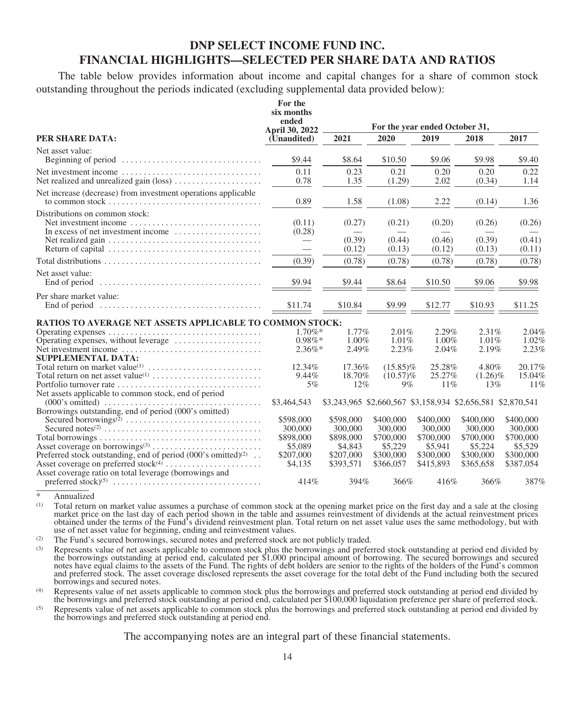## **DNP SELECT INCOME FUND INC. FINANCIAL HIGHLIGHTS—SELECTED PER SHARE DATA AND RATIOS**

The table below provides information about income and capital changes for a share of common stock outstanding throughout the periods indicated (excluding supplemental data provided below):

|                                                                                                                                                                                            | For the<br>six months<br>ended<br><b>April 30, 2022</b> |                                                             |                                   | For the year ended October 31,    |                                   |                                   |
|--------------------------------------------------------------------------------------------------------------------------------------------------------------------------------------------|---------------------------------------------------------|-------------------------------------------------------------|-----------------------------------|-----------------------------------|-----------------------------------|-----------------------------------|
| PER SHARE DATA:                                                                                                                                                                            | (Unaudited)                                             | 2021                                                        | 2020                              | 2019                              | 2018                              | 2017                              |
| Net asset value:<br>Beginning of period $\dots \dots \dots \dots \dots \dots \dots \dots \dots \dots$                                                                                      | \$9.44                                                  | \$8.64                                                      | \$10.50                           | \$9.06                            | \$9.98                            | \$9.40                            |
| Net investment income<br>Net realized and unrealized gain (loss)                                                                                                                           | 0.11<br>0.78                                            | 0.23<br>1.35                                                | 0.21<br>(1.29)                    | 0.20<br>2.02                      | 0.20<br>(0.34)                    | 0.22<br>1.14                      |
| Net increase (decrease) from investment operations applicable                                                                                                                              | 0.89                                                    | 1.58                                                        | (1.08)                            | 2.22                              | (0.14)                            | 1.36                              |
| Distributions on common stock:<br>Net investment income<br>In excess of net investment income<br>Net realized gain $\ldots \ldots \ldots \ldots \ldots \ldots \ldots \ldots \ldots \ldots$ | (0.11)<br>(0.28)<br>$\overline{\phantom{0}}$            | (0.27)<br>(0.39)<br>(0.12)                                  | (0.21)<br>(0.44)<br>(0.13)        | (0.20)<br>(0.46)<br>(0.12)        | (0.26)<br>(0.39)<br>(0.13)        | (0.26)<br>(0.41)<br>(0.11)        |
|                                                                                                                                                                                            | (0.39)                                                  | (0.78)                                                      | (0.78)                            | (0.78)                            | (0.78)                            | (0.78)                            |
| Net asset value:                                                                                                                                                                           | \$9.94                                                  | \$9.44                                                      | \$8.64                            | \$10.50                           | \$9.06                            | \$9.98                            |
| Per share market value:<br>End of period $\ldots, \ldots, \ldots, \ldots, \ldots, \ldots, \ldots, \ldots, \ldots, \ldots$                                                                  | \$11.74                                                 | \$10.84                                                     | \$9.99                            | \$12.77                           | \$10.93                           | \$11.25                           |
| <b>RATIOS TO AVERAGE NET ASSETS APPLICABLE TO COMMON STOCK:</b>                                                                                                                            |                                                         |                                                             |                                   |                                   |                                   |                                   |
| Operating expenses, without leverage                                                                                                                                                       | $1.70\%$ *<br>$0.98\%*$                                 | 1.77%<br>$1.00\%$                                           | 2.01%<br>1.01%                    | 2.29%<br>1.00%                    | 2.31%<br>1.01%                    | 2.04%<br>1.02%                    |
| Net investment income<br><b>SUPPLEMENTAL DATA:</b>                                                                                                                                         | $2.36\%$ *                                              | 2.49%                                                       | 2.23%                             | 2.04%                             | 2.19%                             | 2.23%                             |
|                                                                                                                                                                                            | 12.34%<br>9.44%                                         | 17.36%<br>18.70%                                            | $(15.85)\%$<br>$(10.57)\%$        | 25.28%<br>25.27%                  | 4.80%<br>$(1.26)\%$               | 20.17%<br>15.04%                  |
| Net assets applicable to common stock, end of period                                                                                                                                       | 5%                                                      | 12%                                                         | 9%                                | 11%                               | 13%                               | 11%                               |
| Borrowings outstanding, end of period (000's omitted)                                                                                                                                      | \$3,464,543                                             | \$3,243,965 \$2,660,567 \$3,158,934 \$2,656,581 \$2,870,541 |                                   |                                   |                                   |                                   |
|                                                                                                                                                                                            | \$598,000<br>300,000                                    | \$598,000<br>300,000                                        | \$400,000<br>300,000              | \$400,000<br>300,000              | \$400,000<br>300,000              | \$400,000<br>300,000              |
| Preferred stock outstanding, end of period $(000)$ 's omitted $)^{(2)}$ .                                                                                                                  | \$898,000<br>\$5,089<br>\$207,000                       | \$898,000<br>\$4,843<br>\$207,000                           | \$700,000<br>\$5,229<br>\$300,000 | \$700,000<br>\$5,941<br>\$300,000 | \$700,000<br>\$5,224<br>\$300,000 | \$700,000<br>\$5,529<br>\$300,000 |
| Asset coverage ratio on total leverage (borrowings and                                                                                                                                     | \$4,135                                                 | \$393,571                                                   | \$366,057                         | \$415,893                         | \$365,658                         | \$387,054                         |
|                                                                                                                                                                                            | 414%                                                    | 394%                                                        | 366%                              | 416%                              | 366%                              | 387%                              |

\* Annualized

Total return on market value assumes a purchase of common stock at the opening market price on the first day and a sale at the closing market price on the last day of each period shown in the table and assumes reinvestment of dividends at the actual reinvestment prices<br>obtained under the terms of the Fund's dividend reinvestment plan. Total return on net use of net asset value for beginning, ending and reinvestment values.

(2) The Fund's secured borrowings, secured notes and preferred stock are not publicly traded.

(3) Represents value of net assets applicable to common stock plus the borrowings and preferred stock outstanding at period end divided by the borrowings outstanding at period end, calculated per \$1,000 principal amount of notes have equal claims to the assets of the Fund. The rights of debt holders are senior to the rights of the holders of the Fund's common and preferred stock. The asset coverage disclosed represents the asset coverage for the total debt of the Fund including both the secured borrowings and secured notes.

(4) Represents value of net assets applicable to common stock plus the borrowings and preferred stock outstanding at period end divided by the borrowings and preferred stock outstanding at period end, calculated per \$100,000 liquidation preference per share of preferred stock.

(5) Represents value of net assets applicable to common stock plus the borrowings and preferred stock outstanding at period end divided by the borrowings and preferred stock outstanding at period end.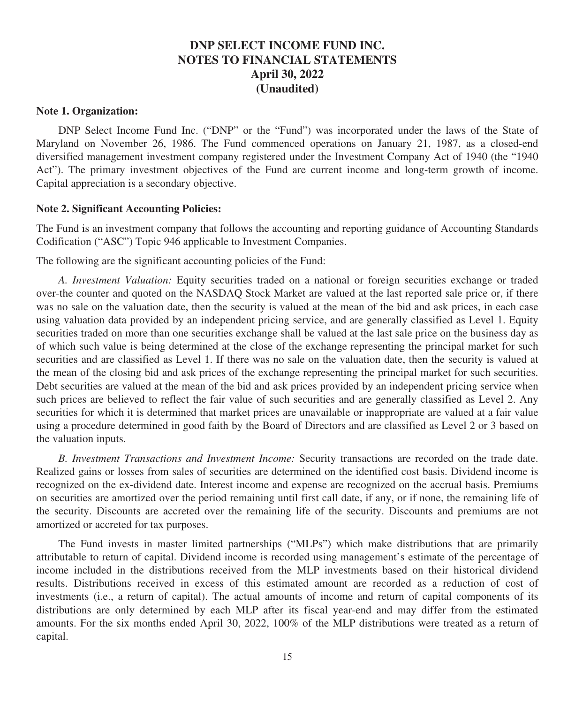#### **Note 1. Organization:**

DNP Select Income Fund Inc. ("DNP" or the "Fund") was incorporated under the laws of the State of Maryland on November 26, 1986. The Fund commenced operations on January 21, 1987, as a closed-end diversified management investment company registered under the Investment Company Act of 1940 (the "1940 Act"). The primary investment objectives of the Fund are current income and long-term growth of income. Capital appreciation is a secondary objective.

#### **Note 2. Significant Accounting Policies:**

The Fund is an investment company that follows the accounting and reporting guidance of Accounting Standards Codification ("ASC") Topic 946 applicable to Investment Companies.

The following are the significant accounting policies of the Fund:

*A. Investment Valuation:* Equity securities traded on a national or foreign securities exchange or traded over-the counter and quoted on the NASDAQ Stock Market are valued at the last reported sale price or, if there was no sale on the valuation date, then the security is valued at the mean of the bid and ask prices, in each case using valuation data provided by an independent pricing service, and are generally classified as Level 1. Equity securities traded on more than one securities exchange shall be valued at the last sale price on the business day as of which such value is being determined at the close of the exchange representing the principal market for such securities and are classified as Level 1. If there was no sale on the valuation date, then the security is valued at the mean of the closing bid and ask prices of the exchange representing the principal market for such securities. Debt securities are valued at the mean of the bid and ask prices provided by an independent pricing service when such prices are believed to reflect the fair value of such securities and are generally classified as Level 2. Any securities for which it is determined that market prices are unavailable or inappropriate are valued at a fair value using a procedure determined in good faith by the Board of Directors and are classified as Level 2 or 3 based on the valuation inputs.

*B. Investment Transactions and Investment Income:* Security transactions are recorded on the trade date. Realized gains or losses from sales of securities are determined on the identified cost basis. Dividend income is recognized on the ex-dividend date. Interest income and expense are recognized on the accrual basis. Premiums on securities are amortized over the period remaining until first call date, if any, or if none, the remaining life of the security. Discounts are accreted over the remaining life of the security. Discounts and premiums are not amortized or accreted for tax purposes.

The Fund invests in master limited partnerships ("MLPs") which make distributions that are primarily attributable to return of capital. Dividend income is recorded using management's estimate of the percentage of income included in the distributions received from the MLP investments based on their historical dividend results. Distributions received in excess of this estimated amount are recorded as a reduction of cost of investments (i.e., a return of capital). The actual amounts of income and return of capital components of its distributions are only determined by each MLP after its fiscal year-end and may differ from the estimated amounts. For the six months ended April 30, 2022, 100% of the MLP distributions were treated as a return of capital.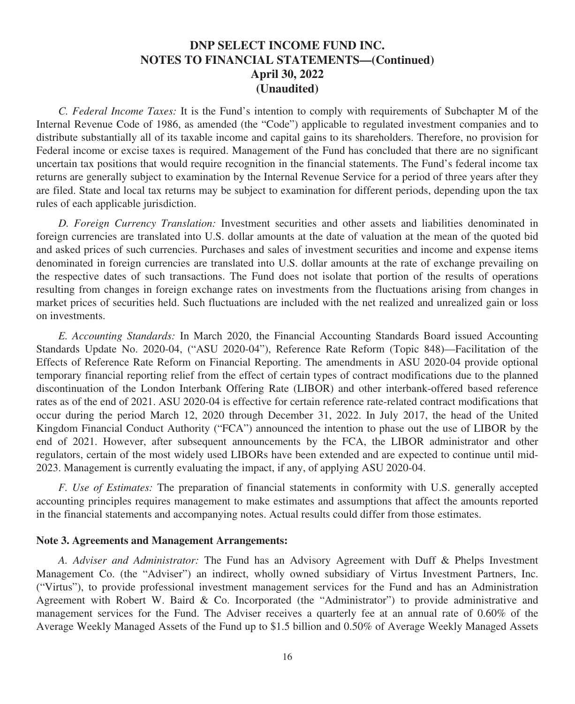*C. Federal Income Taxes:* It is the Fund's intention to comply with requirements of Subchapter M of the Internal Revenue Code of 1986, as amended (the "Code") applicable to regulated investment companies and to distribute substantially all of its taxable income and capital gains to its shareholders. Therefore, no provision for Federal income or excise taxes is required. Management of the Fund has concluded that there are no significant uncertain tax positions that would require recognition in the financial statements. The Fund's federal income tax returns are generally subject to examination by the Internal Revenue Service for a period of three years after they are filed. State and local tax returns may be subject to examination for different periods, depending upon the tax rules of each applicable jurisdiction.

*D. Foreign Currency Translation:* Investment securities and other assets and liabilities denominated in foreign currencies are translated into U.S. dollar amounts at the date of valuation at the mean of the quoted bid and asked prices of such currencies. Purchases and sales of investment securities and income and expense items denominated in foreign currencies are translated into U.S. dollar amounts at the rate of exchange prevailing on the respective dates of such transactions. The Fund does not isolate that portion of the results of operations resulting from changes in foreign exchange rates on investments from the fluctuations arising from changes in market prices of securities held. Such fluctuations are included with the net realized and unrealized gain or loss on investments.

*E. Accounting Standards:* In March 2020, the Financial Accounting Standards Board issued Accounting Standards Update No. 2020-04, ("ASU 2020-04"), Reference Rate Reform (Topic 848)—Facilitation of the Effects of Reference Rate Reform on Financial Reporting. The amendments in ASU 2020-04 provide optional temporary financial reporting relief from the effect of certain types of contract modifications due to the planned discontinuation of the London Interbank Offering Rate (LIBOR) and other interbank-offered based reference rates as of the end of 2021. ASU 2020-04 is effective for certain reference rate-related contract modifications that occur during the period March 12, 2020 through December 31, 2022. In July 2017, the head of the United Kingdom Financial Conduct Authority ("FCA") announced the intention to phase out the use of LIBOR by the end of 2021. However, after subsequent announcements by the FCA, the LIBOR administrator and other regulators, certain of the most widely used LIBORs have been extended and are expected to continue until mid-2023. Management is currently evaluating the impact, if any, of applying ASU 2020-04.

*F. Use of Estimates:* The preparation of financial statements in conformity with U.S. generally accepted accounting principles requires management to make estimates and assumptions that affect the amounts reported in the financial statements and accompanying notes. Actual results could differ from those estimates.

#### **Note 3. Agreements and Management Arrangements:**

*A. Adviser and Administrator:* The Fund has an Advisory Agreement with Duff & Phelps Investment Management Co. (the "Adviser") an indirect, wholly owned subsidiary of Virtus Investment Partners, Inc. ("Virtus"), to provide professional investment management services for the Fund and has an Administration Agreement with Robert W. Baird & Co. Incorporated (the "Administrator") to provide administrative and management services for the Fund. The Adviser receives a quarterly fee at an annual rate of 0.60% of the Average Weekly Managed Assets of the Fund up to \$1.5 billion and 0.50% of Average Weekly Managed Assets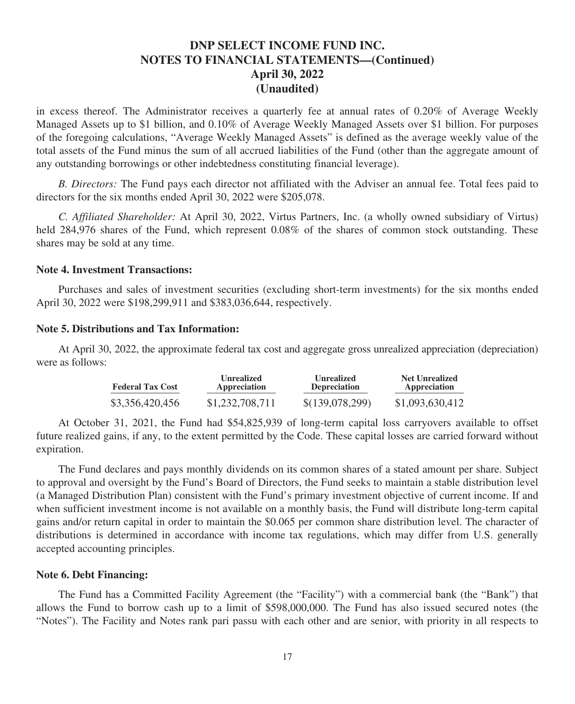in excess thereof. The Administrator receives a quarterly fee at annual rates of 0.20% of Average Weekly Managed Assets up to \$1 billion, and 0.10% of Average Weekly Managed Assets over \$1 billion. For purposes of the foregoing calculations, "Average Weekly Managed Assets" is defined as the average weekly value of the total assets of the Fund minus the sum of all accrued liabilities of the Fund (other than the aggregate amount of any outstanding borrowings or other indebtedness constituting financial leverage).

*B. Directors:* The Fund pays each director not affiliated with the Adviser an annual fee. Total fees paid to directors for the six months ended April 30, 2022 were \$205,078.

*C. Affiliated Shareholder:* At April 30, 2022, Virtus Partners, Inc. (a wholly owned subsidiary of Virtus) held 284,976 shares of the Fund, which represent 0.08% of the shares of common stock outstanding. These shares may be sold at any time.

### **Note 4. Investment Transactions:**

Purchases and sales of investment securities (excluding short-term investments) for the six months ended April 30, 2022 were \$198,299,911 and \$383,036,644, respectively.

#### **Note 5. Distributions and Tax Information:**

At April 30, 2022, the approximate federal tax cost and aggregate gross unrealized appreciation (depreciation) were as follows:

| <b>Federal Tax Cost</b> | Unrealized      | <b>Unrealized</b>   | <b>Net Unrealized</b> |  |
|-------------------------|-----------------|---------------------|-----------------------|--|
|                         | Appreciation    | <b>Depreciation</b> | Appreciation          |  |
| \$3,356,420,456         | \$1,232,708,711 | \$(139,078,299)     | \$1,093,630,412       |  |

At October 31, 2021, the Fund had \$54,825,939 of long-term capital loss carryovers available to offset future realized gains, if any, to the extent permitted by the Code. These capital losses are carried forward without expiration.

The Fund declares and pays monthly dividends on its common shares of a stated amount per share. Subject to approval and oversight by the Fund's Board of Directors, the Fund seeks to maintain a stable distribution level (a Managed Distribution Plan) consistent with the Fund's primary investment objective of current income. If and when sufficient investment income is not available on a monthly basis, the Fund will distribute long-term capital gains and/or return capital in order to maintain the \$0.065 per common share distribution level. The character of distributions is determined in accordance with income tax regulations, which may differ from U.S. generally accepted accounting principles.

#### **Note 6. Debt Financing:**

The Fund has a Committed Facility Agreement (the "Facility") with a commercial bank (the "Bank") that allows the Fund to borrow cash up to a limit of \$598,000,000. The Fund has also issued secured notes (the "Notes"). The Facility and Notes rank pari passu with each other and are senior, with priority in all respects to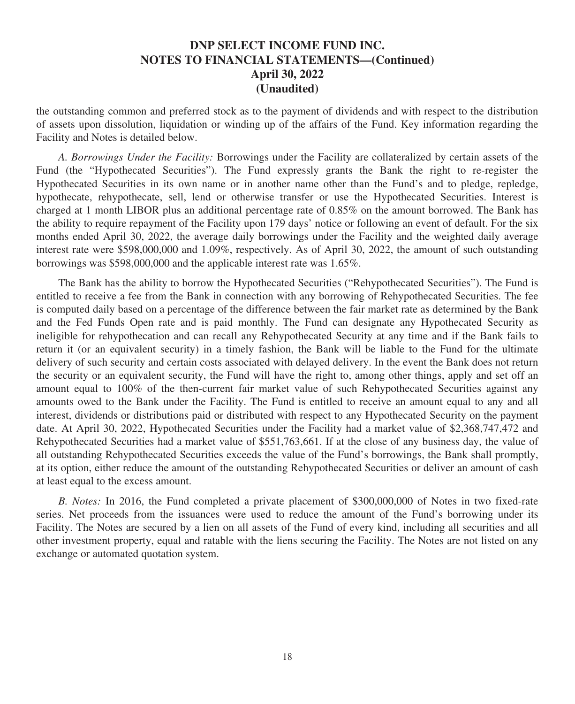the outstanding common and preferred stock as to the payment of dividends and with respect to the distribution of assets upon dissolution, liquidation or winding up of the affairs of the Fund. Key information regarding the Facility and Notes is detailed below.

*A. Borrowings Under the Facility:* Borrowings under the Facility are collateralized by certain assets of the Fund (the "Hypothecated Securities"). The Fund expressly grants the Bank the right to re-register the Hypothecated Securities in its own name or in another name other than the Fund's and to pledge, repledge, hypothecate, rehypothecate, sell, lend or otherwise transfer or use the Hypothecated Securities. Interest is charged at 1 month LIBOR plus an additional percentage rate of 0.85% on the amount borrowed. The Bank has the ability to require repayment of the Facility upon 179 days' notice or following an event of default. For the six months ended April 30, 2022, the average daily borrowings under the Facility and the weighted daily average interest rate were \$598,000,000 and 1.09%, respectively. As of April 30, 2022, the amount of such outstanding borrowings was \$598,000,000 and the applicable interest rate was 1.65%.

The Bank has the ability to borrow the Hypothecated Securities ("Rehypothecated Securities"). The Fund is entitled to receive a fee from the Bank in connection with any borrowing of Rehypothecated Securities. The fee is computed daily based on a percentage of the difference between the fair market rate as determined by the Bank and the Fed Funds Open rate and is paid monthly. The Fund can designate any Hypothecated Security as ineligible for rehypothecation and can recall any Rehypothecated Security at any time and if the Bank fails to return it (or an equivalent security) in a timely fashion, the Bank will be liable to the Fund for the ultimate delivery of such security and certain costs associated with delayed delivery. In the event the Bank does not return the security or an equivalent security, the Fund will have the right to, among other things, apply and set off an amount equal to 100% of the then-current fair market value of such Rehypothecated Securities against any amounts owed to the Bank under the Facility. The Fund is entitled to receive an amount equal to any and all interest, dividends or distributions paid or distributed with respect to any Hypothecated Security on the payment date. At April 30, 2022, Hypothecated Securities under the Facility had a market value of \$2,368,747,472 and Rehypothecated Securities had a market value of \$551,763,661. If at the close of any business day, the value of all outstanding Rehypothecated Securities exceeds the value of the Fund's borrowings, the Bank shall promptly, at its option, either reduce the amount of the outstanding Rehypothecated Securities or deliver an amount of cash at least equal to the excess amount.

*B. Notes:* In 2016, the Fund completed a private placement of \$300,000,000 of Notes in two fixed-rate series. Net proceeds from the issuances were used to reduce the amount of the Fund's borrowing under its Facility. The Notes are secured by a lien on all assets of the Fund of every kind, including all securities and all other investment property, equal and ratable with the liens securing the Facility. The Notes are not listed on any exchange or automated quotation system.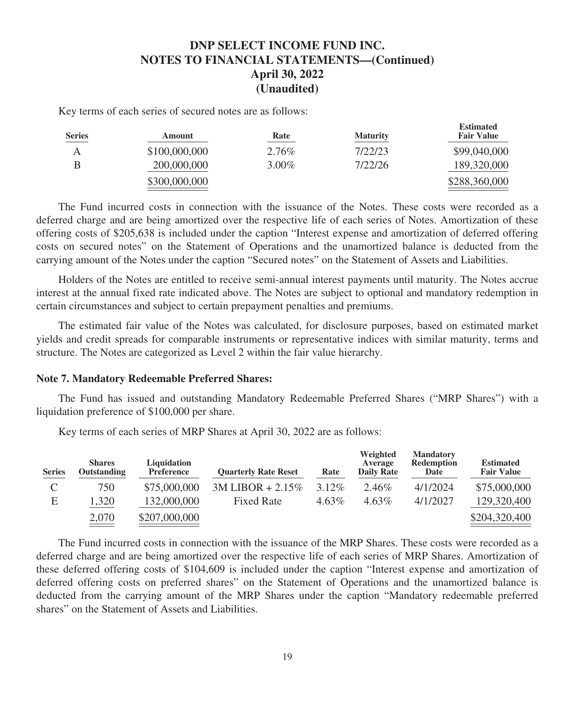Key terms of each series of secured notes are as follows:

| <b>Series</b> | Amount        | Rate     | <b>Maturity</b> | <b>Estimated</b><br><b>Fair Value</b> |
|---------------|---------------|----------|-----------------|---------------------------------------|
|               | \$100,000,000 | 2.76%    | 7/22/23         | \$99,040,000                          |
|               | 200,000,000   | $3.00\%$ | 7/22/26         | 189,320,000                           |
|               | \$300,000,000 |          |                 | \$288,360,000                         |

**Estimated**

The Fund incurred costs in connection with the issuance of the Notes. These costs were recorded as a deferred charge and are being amortized over the respective life of each series of Notes. Amortization of these offering costs of \$205,638 is included under the caption "Interest expense and amortization of deferred offering costs on secured notes" on the Statement of Operations and the unamortized balance is deducted from the carrying amount of the Notes under the caption "Secured notes" on the Statement of Assets and Liabilities.

Holders of the Notes are entitled to receive semi-annual interest payments until maturity. The Notes accrue interest at the annual fixed rate indicated above. The Notes are subject to optional and mandatory redemption in certain circumstances and subject to certain prepayment penalties and premiums.

The estimated fair value of the Notes was calculated, for disclosure purposes, based on estimated market yields and credit spreads for comparable instruments or representative indices with similar maturity, terms and structure. The Notes are categorized as Level 2 within the fair value hierarchy.

#### **Note 7. Mandatory Redeemable Preferred Shares:**

The Fund has issued and outstanding Mandatory Redeemable Preferred Shares ("MRP Shares") with a liquidation preference of \$100,000 per share.

| <b>Series</b> | <b>Shares</b><br>Outstanding | Liquidation<br><b>Preference</b> | <b>Ouarterly Rate Reset</b> | Rate     | Weighted<br>Average<br><b>Daily Rate</b> | <b>Mandatory</b><br><b>Redemption</b><br>Date | <b>Estimated</b><br><b>Fair Value</b> |
|---------------|------------------------------|----------------------------------|-----------------------------|----------|------------------------------------------|-----------------------------------------------|---------------------------------------|
| ◡             | 750                          | \$75,000,000                     | $3M LIBOR + 2.15\%$         | $3.12\%$ | 2.46%                                    | 4/1/2024                                      | \$75,000,000                          |
| Е             | 1,320                        | 132,000,000                      | <b>Fixed Rate</b>           | $4.63\%$ | $4.63\%$                                 | 4/1/2027                                      | 129,320,400                           |
|               | 2,070                        | \$207,000,000                    |                             |          |                                          |                                               | \$204,320,400                         |

Key terms of each series of MRP Shares at April 30, 2022 are as follows:

The Fund incurred costs in connection with the issuance of the MRP Shares. These costs were recorded as a deferred charge and are being amortized over the respective life of each series of MRP Shares. Amortization of these deferred offering costs of \$104,609 is included under the caption "Interest expense and amortization of deferred offering costs on preferred shares" on the Statement of Operations and the unamortized balance is deducted from the carrying amount of the MRP Shares under the caption "Mandatory redeemable preferred shares" on the Statement of Assets and Liabilities.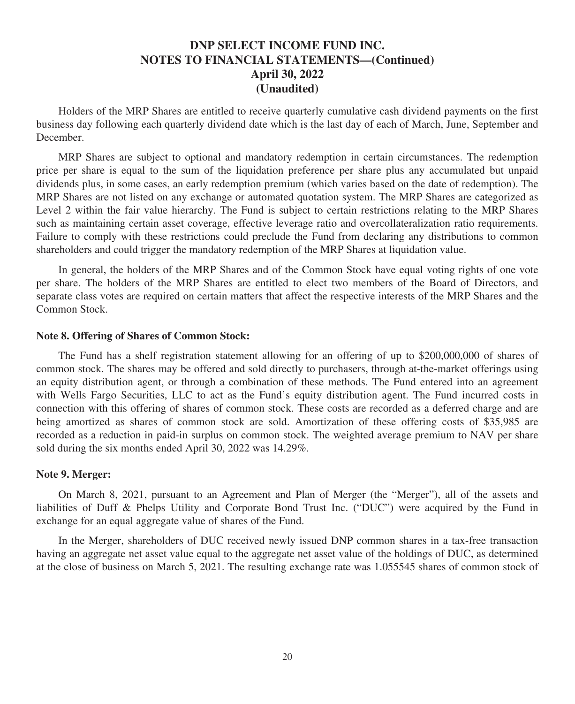Holders of the MRP Shares are entitled to receive quarterly cumulative cash dividend payments on the first business day following each quarterly dividend date which is the last day of each of March, June, September and December.

MRP Shares are subject to optional and mandatory redemption in certain circumstances. The redemption price per share is equal to the sum of the liquidation preference per share plus any accumulated but unpaid dividends plus, in some cases, an early redemption premium (which varies based on the date of redemption). The MRP Shares are not listed on any exchange or automated quotation system. The MRP Shares are categorized as Level 2 within the fair value hierarchy. The Fund is subject to certain restrictions relating to the MRP Shares such as maintaining certain asset coverage, effective leverage ratio and overcollateralization ratio requirements. Failure to comply with these restrictions could preclude the Fund from declaring any distributions to common shareholders and could trigger the mandatory redemption of the MRP Shares at liquidation value.

In general, the holders of the MRP Shares and of the Common Stock have equal voting rights of one vote per share. The holders of the MRP Shares are entitled to elect two members of the Board of Directors, and separate class votes are required on certain matters that affect the respective interests of the MRP Shares and the Common Stock.

#### **Note 8. Offering of Shares of Common Stock:**

The Fund has a shelf registration statement allowing for an offering of up to \$200,000,000 of shares of common stock. The shares may be offered and sold directly to purchasers, through at-the-market offerings using an equity distribution agent, or through a combination of these methods. The Fund entered into an agreement with Wells Fargo Securities, LLC to act as the Fund's equity distribution agent. The Fund incurred costs in connection with this offering of shares of common stock. These costs are recorded as a deferred charge and are being amortized as shares of common stock are sold. Amortization of these offering costs of \$35,985 are recorded as a reduction in paid-in surplus on common stock. The weighted average premium to NAV per share sold during the six months ended April 30, 2022 was 14.29%.

#### **Note 9. Merger:**

On March 8, 2021, pursuant to an Agreement and Plan of Merger (the "Merger"), all of the assets and liabilities of Duff & Phelps Utility and Corporate Bond Trust Inc. ("DUC") were acquired by the Fund in exchange for an equal aggregate value of shares of the Fund.

In the Merger, shareholders of DUC received newly issued DNP common shares in a tax-free transaction having an aggregate net asset value equal to the aggregate net asset value of the holdings of DUC, as determined at the close of business on March 5, 2021. The resulting exchange rate was 1.055545 shares of common stock of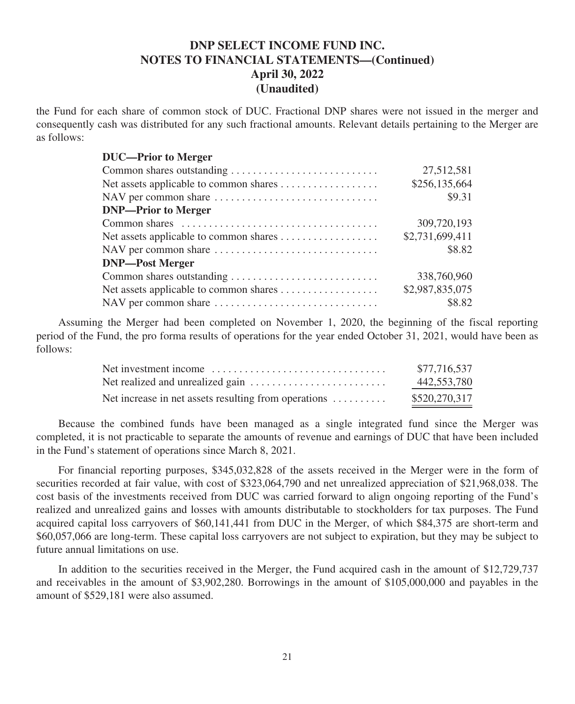the Fund for each share of common stock of DUC. Fractional DNP shares were not issued in the merger and consequently cash was distributed for any such fractional amounts. Relevant details pertaining to the Merger are as follows:

| 27,512,581      |
|-----------------|
| \$256,135,664   |
| \$9.31          |
|                 |
| 309,720,193     |
| \$2,731,699,411 |
| \$8.82          |
|                 |
| 338,760,960     |
| \$2,987,835,075 |
| \$8.82          |
|                 |

Assuming the Merger had been completed on November 1, 2020, the beginning of the fiscal reporting period of the Fund, the pro forma results of operations for the year ended October 31, 2021, would have been as follows:

| Net investment income $\dots\dots\dots\dots\dots\dots\dots\dots\dots\dots\dots$ | \$77,716,537  |
|---------------------------------------------------------------------------------|---------------|
| Net realized and unrealized gain $\dots \dots \dots \dots \dots \dots \dots$    | 442,553,780   |
| Net increase in net assets resulting from operations $\dots \dots$              | \$520,270,317 |

Because the combined funds have been managed as a single integrated fund since the Merger was completed, it is not practicable to separate the amounts of revenue and earnings of DUC that have been included in the Fund's statement of operations since March 8, 2021.

For financial reporting purposes, \$345,032,828 of the assets received in the Merger were in the form of securities recorded at fair value, with cost of \$323,064,790 and net unrealized appreciation of \$21,968,038. The cost basis of the investments received from DUC was carried forward to align ongoing reporting of the Fund's realized and unrealized gains and losses with amounts distributable to stockholders for tax purposes. The Fund acquired capital loss carryovers of \$60,141,441 from DUC in the Merger, of which \$84,375 are short-term and \$60,057,066 are long-term. These capital loss carryovers are not subject to expiration, but they may be subject to future annual limitations on use.

In addition to the securities received in the Merger, the Fund acquired cash in the amount of \$12,729,737 and receivables in the amount of \$3,902,280. Borrowings in the amount of \$105,000,000 and payables in the amount of \$529,181 were also assumed.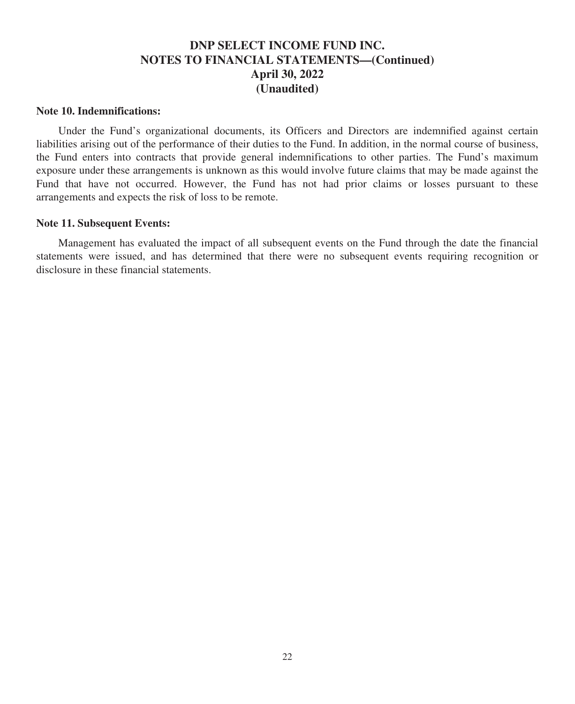#### **Note 10. Indemnifications:**

Under the Fund's organizational documents, its Officers and Directors are indemnified against certain liabilities arising out of the performance of their duties to the Fund. In addition, in the normal course of business, the Fund enters into contracts that provide general indemnifications to other parties. The Fund's maximum exposure under these arrangements is unknown as this would involve future claims that may be made against the Fund that have not occurred. However, the Fund has not had prior claims or losses pursuant to these arrangements and expects the risk of loss to be remote.

#### **Note 11. Subsequent Events:**

Management has evaluated the impact of all subsequent events on the Fund through the date the financial statements were issued, and has determined that there were no subsequent events requiring recognition or disclosure in these financial statements.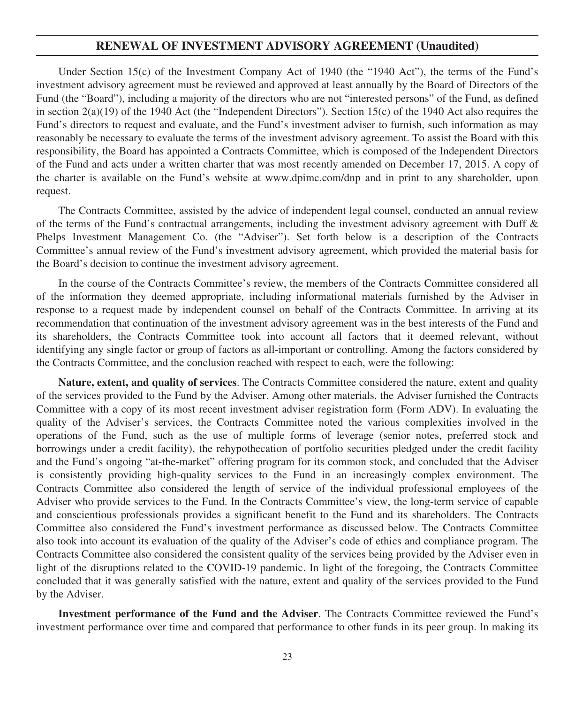## **RENEWAL OF INVESTMENT ADVISORY AGREEMENT (Unaudited)**

Under Section 15(c) of the Investment Company Act of 1940 (the "1940 Act"), the terms of the Fund's investment advisory agreement must be reviewed and approved at least annually by the Board of Directors of the Fund (the "Board"), including a majority of the directors who are not "interested persons" of the Fund, as defined in section 2(a)(19) of the 1940 Act (the "Independent Directors"). Section 15(c) of the 1940 Act also requires the Fund's directors to request and evaluate, and the Fund's investment adviser to furnish, such information as may reasonably be necessary to evaluate the terms of the investment advisory agreement. To assist the Board with this responsibility, the Board has appointed a Contracts Committee, which is composed of the Independent Directors of the Fund and acts under a written charter that was most recently amended on December 17, 2015. A copy of the charter is available on the Fund's website at www.dpimc.com/dnp and in print to any shareholder, upon request.

The Contracts Committee, assisted by the advice of independent legal counsel, conducted an annual review of the terms of the Fund's contractual arrangements, including the investment advisory agreement with Duff & Phelps Investment Management Co. (the "Adviser"). Set forth below is a description of the Contracts Committee's annual review of the Fund's investment advisory agreement, which provided the material basis for the Board's decision to continue the investment advisory agreement.

In the course of the Contracts Committee's review, the members of the Contracts Committee considered all of the information they deemed appropriate, including informational materials furnished by the Adviser in response to a request made by independent counsel on behalf of the Contracts Committee. In arriving at its recommendation that continuation of the investment advisory agreement was in the best interests of the Fund and its shareholders, the Contracts Committee took into account all factors that it deemed relevant, without identifying any single factor or group of factors as all-important or controlling. Among the factors considered by the Contracts Committee, and the conclusion reached with respect to each, were the following:

**Nature, extent, and quality of services**. The Contracts Committee considered the nature, extent and quality of the services provided to the Fund by the Adviser. Among other materials, the Adviser furnished the Contracts Committee with a copy of its most recent investment adviser registration form (Form ADV). In evaluating the quality of the Adviser's services, the Contracts Committee noted the various complexities involved in the operations of the Fund, such as the use of multiple forms of leverage (senior notes, preferred stock and borrowings under a credit facility), the rehypothecation of portfolio securities pledged under the credit facility and the Fund's ongoing "at-the-market" offering program for its common stock, and concluded that the Adviser is consistently providing high-quality services to the Fund in an increasingly complex environment. The Contracts Committee also considered the length of service of the individual professional employees of the Adviser who provide services to the Fund. In the Contracts Committee's view, the long-term service of capable and conscientious professionals provides a significant benefit to the Fund and its shareholders. The Contracts Committee also considered the Fund's investment performance as discussed below. The Contracts Committee also took into account its evaluation of the quality of the Adviser's code of ethics and compliance program. The Contracts Committee also considered the consistent quality of the services being provided by the Adviser even in light of the disruptions related to the COVID-19 pandemic. In light of the foregoing, the Contracts Committee concluded that it was generally satisfied with the nature, extent and quality of the services provided to the Fund by the Adviser.

**Investment performance of the Fund and the Adviser**. The Contracts Committee reviewed the Fund's investment performance over time and compared that performance to other funds in its peer group. In making its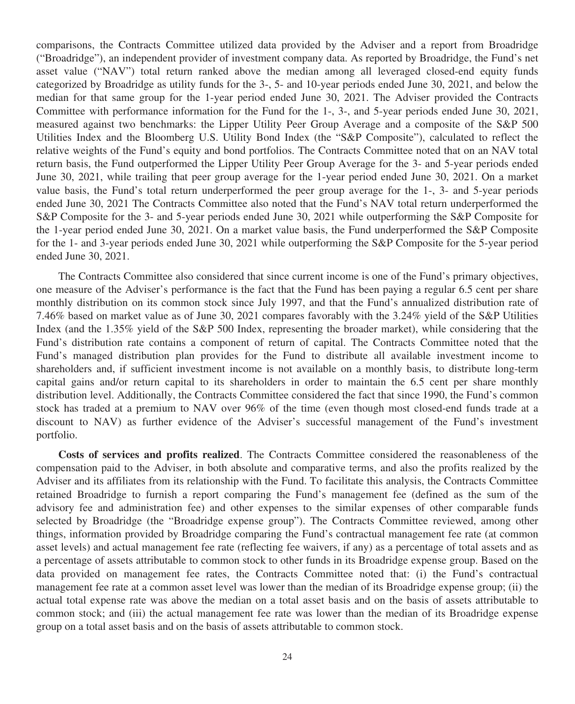comparisons, the Contracts Committee utilized data provided by the Adviser and a report from Broadridge ("Broadridge"), an independent provider of investment company data. As reported by Broadridge, the Fund's net asset value ("NAV") total return ranked above the median among all leveraged closed-end equity funds categorized by Broadridge as utility funds for the 3-, 5- and 10-year periods ended June 30, 2021, and below the median for that same group for the 1-year period ended June 30, 2021. The Adviser provided the Contracts Committee with performance information for the Fund for the 1-, 3-, and 5-year periods ended June 30, 2021, measured against two benchmarks: the Lipper Utility Peer Group Average and a composite of the S&P 500 Utilities Index and the Bloomberg U.S. Utility Bond Index (the "S&P Composite"), calculated to reflect the relative weights of the Fund's equity and bond portfolios. The Contracts Committee noted that on an NAV total return basis, the Fund outperformed the Lipper Utility Peer Group Average for the 3- and 5-year periods ended June 30, 2021, while trailing that peer group average for the 1-year period ended June 30, 2021. On a market value basis, the Fund's total return underperformed the peer group average for the 1-, 3- and 5-year periods ended June 30, 2021 The Contracts Committee also noted that the Fund's NAV total return underperformed the S&P Composite for the 3- and 5-year periods ended June 30, 2021 while outperforming the S&P Composite for the 1-year period ended June 30, 2021. On a market value basis, the Fund underperformed the S&P Composite for the 1- and 3-year periods ended June 30, 2021 while outperforming the S&P Composite for the 5-year period ended June 30, 2021.

The Contracts Committee also considered that since current income is one of the Fund's primary objectives, one measure of the Adviser's performance is the fact that the Fund has been paying a regular 6.5 cent per share monthly distribution on its common stock since July 1997, and that the Fund's annualized distribution rate of 7.46% based on market value as of June 30, 2021 compares favorably with the 3.24% yield of the S&P Utilities Index (and the 1.35% yield of the S&P 500 Index, representing the broader market), while considering that the Fund's distribution rate contains a component of return of capital. The Contracts Committee noted that the Fund's managed distribution plan provides for the Fund to distribute all available investment income to shareholders and, if sufficient investment income is not available on a monthly basis, to distribute long-term capital gains and/or return capital to its shareholders in order to maintain the 6.5 cent per share monthly distribution level. Additionally, the Contracts Committee considered the fact that since 1990, the Fund's common stock has traded at a premium to NAV over 96% of the time (even though most closed-end funds trade at a discount to NAV) as further evidence of the Adviser's successful management of the Fund's investment portfolio.

**Costs of services and profits realized**. The Contracts Committee considered the reasonableness of the compensation paid to the Adviser, in both absolute and comparative terms, and also the profits realized by the Adviser and its affiliates from its relationship with the Fund. To facilitate this analysis, the Contracts Committee retained Broadridge to furnish a report comparing the Fund's management fee (defined as the sum of the advisory fee and administration fee) and other expenses to the similar expenses of other comparable funds selected by Broadridge (the "Broadridge expense group"). The Contracts Committee reviewed, among other things, information provided by Broadridge comparing the Fund's contractual management fee rate (at common asset levels) and actual management fee rate (reflecting fee waivers, if any) as a percentage of total assets and as a percentage of assets attributable to common stock to other funds in its Broadridge expense group. Based on the data provided on management fee rates, the Contracts Committee noted that: (i) the Fund's contractual management fee rate at a common asset level was lower than the median of its Broadridge expense group; (ii) the actual total expense rate was above the median on a total asset basis and on the basis of assets attributable to common stock; and (iii) the actual management fee rate was lower than the median of its Broadridge expense group on a total asset basis and on the basis of assets attributable to common stock.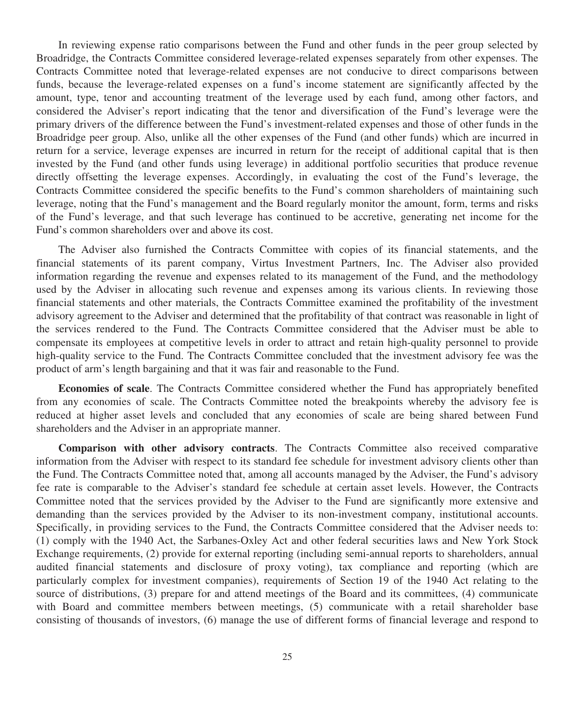In reviewing expense ratio comparisons between the Fund and other funds in the peer group selected by Broadridge, the Contracts Committee considered leverage-related expenses separately from other expenses. The Contracts Committee noted that leverage-related expenses are not conducive to direct comparisons between funds, because the leverage-related expenses on a fund's income statement are significantly affected by the amount, type, tenor and accounting treatment of the leverage used by each fund, among other factors, and considered the Adviser's report indicating that the tenor and diversification of the Fund's leverage were the primary drivers of the difference between the Fund's investment-related expenses and those of other funds in the Broadridge peer group. Also, unlike all the other expenses of the Fund (and other funds) which are incurred in return for a service, leverage expenses are incurred in return for the receipt of additional capital that is then invested by the Fund (and other funds using leverage) in additional portfolio securities that produce revenue directly offsetting the leverage expenses. Accordingly, in evaluating the cost of the Fund's leverage, the Contracts Committee considered the specific benefits to the Fund's common shareholders of maintaining such leverage, noting that the Fund's management and the Board regularly monitor the amount, form, terms and risks of the Fund's leverage, and that such leverage has continued to be accretive, generating net income for the Fund's common shareholders over and above its cost.

The Adviser also furnished the Contracts Committee with copies of its financial statements, and the financial statements of its parent company, Virtus Investment Partners, Inc. The Adviser also provided information regarding the revenue and expenses related to its management of the Fund, and the methodology used by the Adviser in allocating such revenue and expenses among its various clients. In reviewing those financial statements and other materials, the Contracts Committee examined the profitability of the investment advisory agreement to the Adviser and determined that the profitability of that contract was reasonable in light of the services rendered to the Fund. The Contracts Committee considered that the Adviser must be able to compensate its employees at competitive levels in order to attract and retain high-quality personnel to provide high-quality service to the Fund. The Contracts Committee concluded that the investment advisory fee was the product of arm's length bargaining and that it was fair and reasonable to the Fund.

**Economies of scale**. The Contracts Committee considered whether the Fund has appropriately benefited from any economies of scale. The Contracts Committee noted the breakpoints whereby the advisory fee is reduced at higher asset levels and concluded that any economies of scale are being shared between Fund shareholders and the Adviser in an appropriate manner.

**Comparison with other advisory contracts**. The Contracts Committee also received comparative information from the Adviser with respect to its standard fee schedule for investment advisory clients other than the Fund. The Contracts Committee noted that, among all accounts managed by the Adviser, the Fund's advisory fee rate is comparable to the Adviser's standard fee schedule at certain asset levels. However, the Contracts Committee noted that the services provided by the Adviser to the Fund are significantly more extensive and demanding than the services provided by the Adviser to its non-investment company, institutional accounts. Specifically, in providing services to the Fund, the Contracts Committee considered that the Adviser needs to: (1) comply with the 1940 Act, the Sarbanes-Oxley Act and other federal securities laws and New York Stock Exchange requirements, (2) provide for external reporting (including semi-annual reports to shareholders, annual audited financial statements and disclosure of proxy voting), tax compliance and reporting (which are particularly complex for investment companies), requirements of Section 19 of the 1940 Act relating to the source of distributions, (3) prepare for and attend meetings of the Board and its committees, (4) communicate with Board and committee members between meetings, (5) communicate with a retail shareholder base consisting of thousands of investors, (6) manage the use of different forms of financial leverage and respond to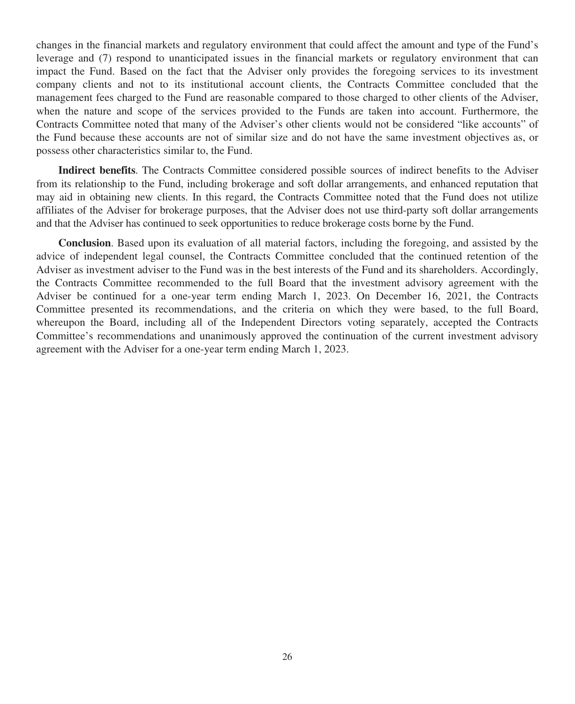changes in the financial markets and regulatory environment that could affect the amount and type of the Fund's leverage and (7) respond to unanticipated issues in the financial markets or regulatory environment that can impact the Fund. Based on the fact that the Adviser only provides the foregoing services to its investment company clients and not to its institutional account clients, the Contracts Committee concluded that the management fees charged to the Fund are reasonable compared to those charged to other clients of the Adviser, when the nature and scope of the services provided to the Funds are taken into account. Furthermore, the Contracts Committee noted that many of the Adviser's other clients would not be considered "like accounts" of the Fund because these accounts are not of similar size and do not have the same investment objectives as, or possess other characteristics similar to, the Fund.

**Indirect benefits**. The Contracts Committee considered possible sources of indirect benefits to the Adviser from its relationship to the Fund, including brokerage and soft dollar arrangements, and enhanced reputation that may aid in obtaining new clients. In this regard, the Contracts Committee noted that the Fund does not utilize affiliates of the Adviser for brokerage purposes, that the Adviser does not use third-party soft dollar arrangements and that the Adviser has continued to seek opportunities to reduce brokerage costs borne by the Fund.

**Conclusion**. Based upon its evaluation of all material factors, including the foregoing, and assisted by the advice of independent legal counsel, the Contracts Committee concluded that the continued retention of the Adviser as investment adviser to the Fund was in the best interests of the Fund and its shareholders. Accordingly, the Contracts Committee recommended to the full Board that the investment advisory agreement with the Adviser be continued for a one-year term ending March 1, 2023. On December 16, 2021, the Contracts Committee presented its recommendations, and the criteria on which they were based, to the full Board, whereupon the Board, including all of the Independent Directors voting separately, accepted the Contracts Committee's recommendations and unanimously approved the continuation of the current investment advisory agreement with the Adviser for a one-year term ending March 1, 2023.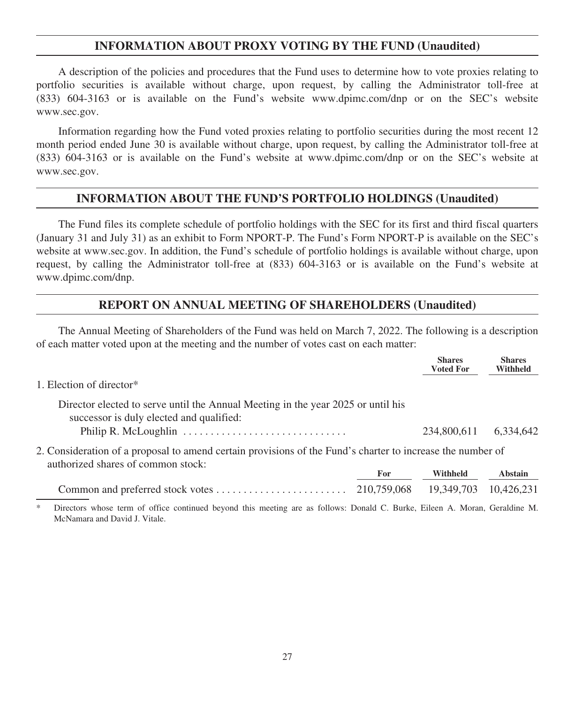## **INFORMATION ABOUT PROXY VOTING BY THE FUND (Unaudited)**

A description of the policies and procedures that the Fund uses to determine how to vote proxies relating to portfolio securities is available without charge, upon request, by calling the Administrator toll-free at (833) 604-3163 or is available on the Fund's website www.dpimc.com/dnp or on the SEC's website www.sec.gov.

Information regarding how the Fund voted proxies relating to portfolio securities during the most recent 12 month period ended June 30 is available without charge, upon request, by calling the Administrator toll-free at (833) 604-3163 or is available on the Fund's website at www.dpimc.com/dnp or on the SEC's website at www.sec.gov.

## **INFORMATION ABOUT THE FUND'S PORTFOLIO HOLDINGS (Unaudited)**

The Fund files its complete schedule of portfolio holdings with the SEC for its first and third fiscal quarters (January 31 and July 31) as an exhibit to Form NPORT-P. The Fund's Form NPORT-P is available on the SEC's website at www.sec.gov. In addition, the Fund's schedule of portfolio holdings is available without charge, upon request, by calling the Administrator toll-free at (833) 604-3163 or is available on the Fund's website at www.dpimc.com/dnp.

## **REPORT ON ANNUAL MEETING OF SHAREHOLDERS (Unaudited)**

The Annual Meeting of Shareholders of the Fund was held on March 7, 2022. The following is a description of each matter voted upon at the meeting and the number of votes cast on each matter:

|                                                                                                                                                                                                                |     | <b>Shares</b><br><b>Voted For</b> | <b>Shares</b><br>Withheld |
|----------------------------------------------------------------------------------------------------------------------------------------------------------------------------------------------------------------|-----|-----------------------------------|---------------------------|
| 1. Election of director*                                                                                                                                                                                       |     |                                   |                           |
| Director elected to serve until the Annual Meeting in the year 2025 or until his<br>successor is duly elected and qualified:<br>Philip R. McLoughlin $\ldots \ldots \ldots \ldots \ldots \ldots \ldots \ldots$ |     | 234,800,611                       | 6.334.642                 |
| 2. Consideration of a proposal to amend certain provisions of the Fund's charter to increase the number of<br>authorized shares of common stock:                                                               | For | Withheld                          | Abstain                   |
|                                                                                                                                                                                                                |     | 19.349.703                        | 10.426.231                |
| *<br>Directors whose term of office continued beyond this meeting are as follows: Donald C. Burke, Eileen A. Moran, Geraldine M.<br>McNamara and David I. Vitale.                                              |     |                                   |                           |